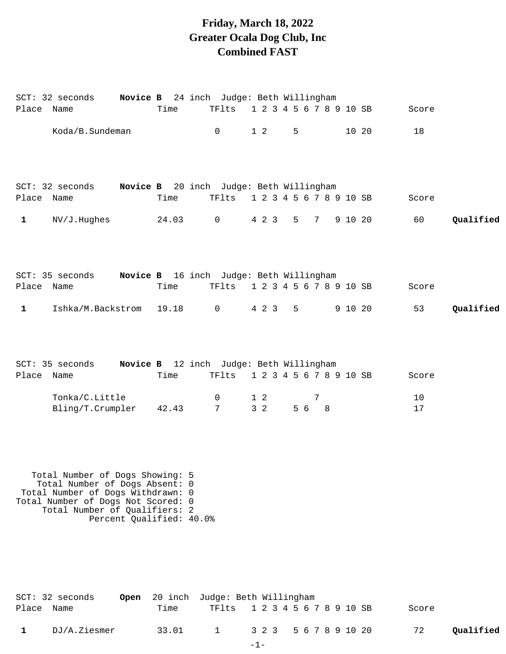## **Friday, March 18, 2022 Greater Ocala Dog Club, Inc Combined FAST**

| Place Name   | SCT: 32 seconds Novice B 24 inch Judge: Beth Willingham                                                                                                                       |                          | Time | TFlts                            | 1 2 3 4 5 6 7 8 9 10 SB     |         |   |       | Score    |           |
|--------------|-------------------------------------------------------------------------------------------------------------------------------------------------------------------------------|--------------------------|------|----------------------------------|-----------------------------|---------|---|-------|----------|-----------|
|              | Koda/B.Sundeman                                                                                                                                                               |                          |      | $\overline{0}$                   | $1\quad2$                   | $5 - 5$ |   | 10 20 | 18       |           |
| Place Name   | SCT: 32 seconds Novice B 20 inch Judge: Beth Willingham                                                                                                                       |                          | Time | TFlts                            | 1 2 3 4 5 6 7 8 9 10 SB     |         |   |       | Score    |           |
| $\mathbf{1}$ | NV/J.Hughes                                                                                                                                                                   |                          |      | 24.03 0                          | 4 2 3 5 7 9 10 20           |         |   |       | 60       | Qualified |
|              | SCT: 35 seconds Novice B 16 inch Judge: Beth Willingham                                                                                                                       |                          |      |                                  |                             |         |   |       |          |           |
| Place Name   |                                                                                                                                                                               |                          | Time | TFlts                            | 1 2 3 4 5 6 7 8 9 10 SB     |         |   |       | Score    |           |
| $\mathbf{1}$ | Ishka/M.Backstrom 19.18 0                                                                                                                                                     |                          |      |                                  | 4 2 3 5 9 10 20             |         |   |       | 53       | Qualified |
|              | SCT: 35 seconds Novice B 12 inch Judge: Beth Willingham                                                                                                                       |                          |      |                                  |                             |         |   |       |          |           |
| Place Name   |                                                                                                                                                                               |                          | Time | TFlts                            | 1 2 3 4 5 6 7 8 9 10 SB     |         |   |       | Score    |           |
|              | Tonka/C.Little<br>Bling/T.Crumpler 42.43                                                                                                                                      |                          |      | $\overline{0}$<br>7 <sup>1</sup> | $1\quad2$<br>3 <sub>2</sub> | 5 6 8   | 7 |       | 10<br>17 |           |
|              | Total Number of Dogs Showing: 5<br>Total Number of Dogs Absent: 0<br>Total Number of Dogs Withdrawn: 0<br>Total Number of Dogs Not Scored: 0<br>Total Number of Qualifiers: 2 | Percent Qualified: 40.0% |      |                                  |                             |         |   |       |          |           |

|            | SCT: 32 seconds |      | <b>Open</b> 20 inch Judge: Beth Willingham |  |  |  |  |  |       |           |
|------------|-----------------|------|--------------------------------------------|--|--|--|--|--|-------|-----------|
| Place Name |                 | Time | TF1ts 1 2 3 4 5 6 7 8 9 10 SB              |  |  |  |  |  | Score |           |
|            | DJ/A.Ziesmer    |      | 33.01 1 3 2 3 5 6 7 8 9 10 20              |  |  |  |  |  | 72    | Qualified |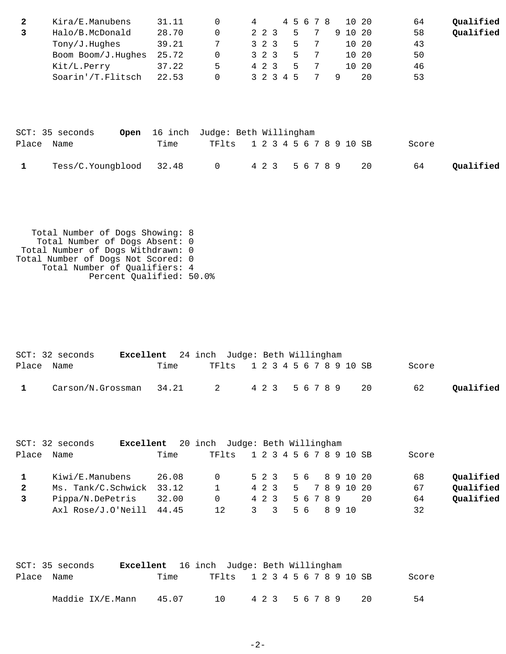| Kira/E.Manubens    | 31.11 |    |           |    | 45678 | 10 20   | 64 | Qualified |
|--------------------|-------|----|-----------|----|-------|---------|----|-----------|
| Halo/B.McDonald    | 28.70 |    | 2 2 3     | 5  |       | 9 10 20 | 58 | Qualified |
| Tony/J.Hughes      | 39.21 |    | 3 2 3     | 5  |       | 10 20   | 43 |           |
| Boom Boom/J.Hughes | 25.72 |    | 3 2 3     | ь. |       | 10 20   | 50 |           |
| Kit/L.Perry        | 37.22 | Б. | 4 2 3     | ь. |       | 10 20   | 46 |           |
| Soarin'/T.Flitsch  | 22.53 |    | 3 2 3 4 5 |    |       | 20      | 53 |           |

|            | SCT: 35 seconds         |      | <b>Open</b> 16 inch Judge: Beth Willingham |           |
|------------|-------------------------|------|--------------------------------------------|-----------|
| Place Name |                         | Time | TF1ts 1 2 3 4 5 6 7 8 9 10 SB<br>Score     |           |
|            | Tess/C.Youngblood 32.48 |      | 0 4 2 3 5 6 7 8 9<br>64<br>20              | Qualified |

 Total Number of Dogs Showing: 8 Total Number of Dogs Absent: 0 Total Number of Dogs Withdrawn: 0 Total Number of Dogs Not Scored: 0 Total Number of Qualifiers: 4 Percent Qualified: 50.0%

|            | $SCT: 32$ seconds                      | <b>Excellent</b> 24 inch Judge: Beth Willingham |                               |  |  |  |  |       |           |
|------------|----------------------------------------|-------------------------------------------------|-------------------------------|--|--|--|--|-------|-----------|
| Place Name |                                        | Time                                            | TF1ts 1 2 3 4 5 6 7 8 9 10 SB |  |  |  |  | Score |           |
|            | Carson/N.Grossman 34.21 2 423 56789 20 |                                                 |                               |  |  |  |  | 62    | Qualified |

|              | SCT: 32 seconds           |       | <b>Excellent</b> 20 inch Judge: Beth Willingham |       |  |  |           |  |                     |     |       |           |
|--------------|---------------------------|-------|-------------------------------------------------|-------|--|--|-----------|--|---------------------|-----|-------|-----------|
| Place        | Name                      | Time  | TF1ts 1 2 3 4 5 6 7 8 9 10 SB                   |       |  |  |           |  |                     |     | Score |           |
|              | Kiwi/E.Manubens           | 26.08 | $\Omega$                                        |       |  |  |           |  | 5 2 3 5 6 8 9 10 20 |     | 68    | Qualified |
| $\mathbf{2}$ | Ms. Tank/C.Schwick 33.12  |       | $\mathbf{1}$                                    |       |  |  |           |  | 4 2 3 5 7 8 9 10 20 |     | 67    | Qualified |
|              | Pippa/N.DePetris          | 32.00 | $\Omega$                                        | 4 2 3 |  |  | 5 6 7 8 9 |  |                     | -20 | 64    | Qualified |
|              | Axl $Rose/J.O'Neil 44.45$ |       | 12                                              | 3 3   |  |  |           |  | 56 8910             |     | 32    |           |

|            | SCT: 35 seconds  | <b>Excellent</b> 16 inch Judge: Beth Willingham |     |                               |                 |  |  |  |      |       |
|------------|------------------|-------------------------------------------------|-----|-------------------------------|-----------------|--|--|--|------|-------|
| Place Name |                  | Time                                            |     | TF1ts 1 2 3 4 5 6 7 8 9 10 SB |                 |  |  |  |      | Score |
|            | Maddie IX/E.Mann | 45.07                                           | 1 N |                               | 4 2 3 5 6 7 8 9 |  |  |  | - 20 | 54    |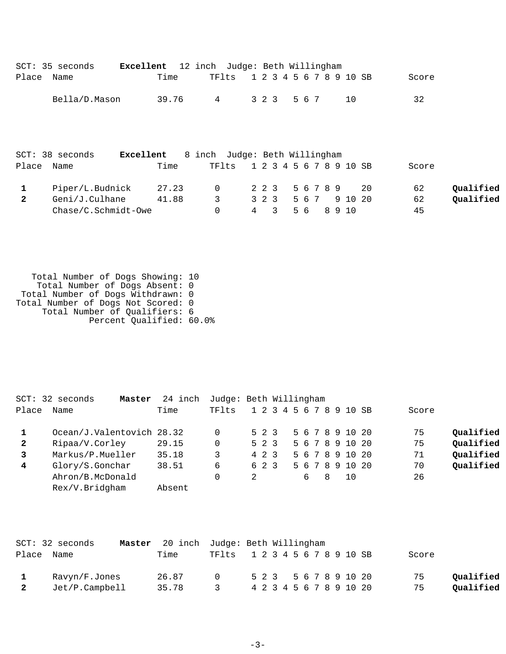|                | SCT: 35 seconds       | Excellent |       | 12 inch Judge: Beth Willingham |   |       |       |           |  |                         |    |       |           |
|----------------|-----------------------|-----------|-------|--------------------------------|---|-------|-------|-----------|--|-------------------------|----|-------|-----------|
| Place          | Name                  |           | Time  | TFlts                          |   |       |       |           |  | 1 2 3 4 5 6 7 8 9 10 SB |    | Score |           |
|                | Bella/D.Mason         |           | 39.76 | 4                              |   | 3 2 3 | 5 6 7 |           |  | 10                      |    | 32    |           |
|                | $SCT: 38$ seconds     | Excellent |       | 8 inch Judge: Beth Willingham  |   |       |       |           |  |                         |    |       |           |
| Place          | Name                  |           | Time  | TFlts                          |   |       |       |           |  | 1 2 3 4 5 6 7 8 9 10 SB |    | Score |           |
| 1              | Piper/L.Budnick       |           | 27.23 | $\mathbf 0$                    |   | 2 2 3 |       | 5 6 7 8 9 |  |                         | 20 | 62    | Qualified |
| $\overline{2}$ | Geni/J.Culhane        |           | 41.88 | 3                              |   | 3 2 3 |       | 567       |  | 9 10 20                 |    | 62    | Qualified |
|                | $Chase/C.Schmidt-Owe$ |           |       | 0                              | 4 | 3     | 5 6   |           |  | 8 9 10                  |    | 45    |           |

 Total Number of Dogs Showing: 10 Total Number of Dogs Absent: 0 Total Number of Dogs Withdrawn: 0 Total Number of Dogs Not Scored: 0 Total Number of Qualifiers: 6 Percent Qualified: 60.0%

|                | $SCT: 32$ seconds<br>Master | 24 inch | Judge: Beth Willingham |                         |  |                 |  |    |       |           |
|----------------|-----------------------------|---------|------------------------|-------------------------|--|-----------------|--|----|-------|-----------|
| Place          | Name                        | Time    | TFlts                  | 1 2 3 4 5 6 7 8 9 10 SB |  |                 |  |    | Score |           |
|                | Ocean/J.Valentovich 28.32   |         |                        | 5 2 3                   |  | 5 6 7 8 9 10 20 |  |    | 75    | Qualified |
| $\overline{2}$ | Ripaa/V.Corley              | 29.15   | 0                      | 5 2 3                   |  | 5 6 7 8 9 10 20 |  |    | 75    | Qualified |
| 3              | Markus/P.Mueller            | 35.18   | 3                      | 4 2 3                   |  | 5 6 7 8 9 10 20 |  |    | 71    | Qualified |
| 4              | Glory/S.Gonchar             | 38.51   | 6                      | 6 2 3                   |  | 5 6 7 8 9 10 20 |  |    | 70    | Qualified |
|                | Ahron/B.McDonald            |         |                        | 2                       |  | 68              |  | 10 | 26    |           |
|                | Rex/V.Bridgham              | Absent  |                        |                         |  |                 |  |    |       |           |

|                | SCT: 32 seconds | <b>Master</b> 20 inch Judge: Beth Willingham |                               |  |  |  |  |  |                         |       |           |
|----------------|-----------------|----------------------------------------------|-------------------------------|--|--|--|--|--|-------------------------|-------|-----------|
|                | Place Name      | Time                                         | TF1ts 1 2 3 4 5 6 7 8 9 10 SB |  |  |  |  |  |                         | Score |           |
|                | Ravyn/F.Jones   | 26.87                                        | $\cap$                        |  |  |  |  |  | 5 2 3 5 6 7 8 9 10 20   | 75    | Oualified |
| $\overline{2}$ | Jet/P.Campbell  | 35.78                                        | $\mathcal{R}$                 |  |  |  |  |  | 4 2 3 4 5 6 7 8 9 10 20 | 75    | Oualified |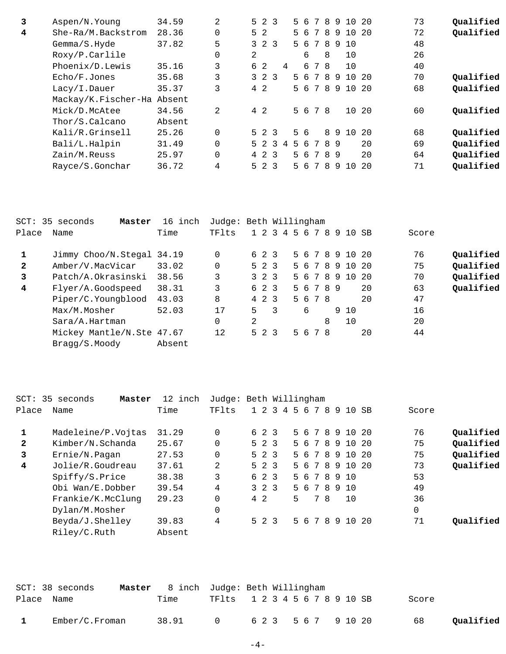| 3 | Aspen/N. Young             | 34.59  | 2           |   | $5 \t2 \t3$    |               |                |   | 56 | $7\overline{ }$ | 89  |     | 10    | - 20 | 73 | Qualified |
|---|----------------------------|--------|-------------|---|----------------|---------------|----------------|---|----|-----------------|-----|-----|-------|------|----|-----------|
| 4 | She-Ra/M.Backstrom         | 28.36  | $\mathbf 0$ |   | 5 <sub>2</sub> |               |                |   | 56 |                 |     | 789 | 10 20 |      | 72 | Qualified |
|   | Gemma/S.Hyde               | 37.82  | 5           |   | $3 \t2 \t3$    |               |                |   | 56 | 7               | 8   | -9  | 10    |      | 48 |           |
|   | Roxy/P.Carlile             |        | 0           | 2 |                |               |                |   | 6  |                 | 8   |     | 10    |      | 26 |           |
|   | Phoenix/D.Lewis            | 35.16  | 3           |   | 6 2            |               | $\overline{4}$ |   |    | 6 7 8           |     |     | 10    |      | 40 |           |
|   | Echo/F.Jones               | 35.68  | 3           |   | $3 \t2 \t3$    |               |                |   | 56 | 7               | 8   | - 9 | 10    | -20  | 70 | Qualified |
|   | Lacy/I.Dauer               | 35.37  | 3           |   | $4\quad2$      |               |                |   | 56 |                 | 789 |     | 10    | -20  | 68 | Qualified |
|   | Mackay/K.Fischer-Ha Absent |        |             |   |                |               |                |   |    |                 |     |     |       |      |    |           |
|   | Mick/D.McAtee              | 34.56  | 2           |   | 4 2            |               |                |   | 56 | 78              |     |     | 10 20 |      | 60 | Oualified |
|   | Thor/S.Calcano             | Absent |             |   |                |               |                |   |    |                 |     |     |       |      |    |           |
|   | Kali/R.Grinsell            | 25.26  | $\Omega$    |   | $5 \t2 \t3$    |               |                |   | 56 |                 |     | 89  | 10    | - 20 | 68 | Qualified |
|   | Bali/L.Halpin              | 31.49  | $\Omega$    |   | 5 2            | $\mathcal{L}$ | 4              | 5 | 6  | 7               | 8   | - 9 |       | 20   | 69 | Qualified |
|   | Zain/M.Reuss               | 25.97  | $\Omega$    |   | 4 2 3          |               |                |   | 56 |                 | 789 |     |       | 20   | 64 | Qualified |
|   | Rayce/S.Gonchar            | 36.72  | 4           |   | $5 \t2 \t3$    |               |                |   | 56 | 7               | 8   | - 9 | 1 O   | 20   | 71 | Qualified |
|   |                            |        |             |   |                |               |                |   |    |                 |     |     |       |      |    |           |

|              | SCT: 35 seconds<br>Master | 16 inch | Judge: Beth Willingham |   |             |   |                 |           |   |                 |     |       |           |
|--------------|---------------------------|---------|------------------------|---|-------------|---|-----------------|-----------|---|-----------------|-----|-------|-----------|
| Place        | Name                      | Time    | TFlts                  |   |             |   | 1 2 3 4 5 6 7 8 |           |   | 9 10 SB         |     | Score |           |
|              | Jimmy Choo/N.Stegal 34.19 |         | 0                      |   | 6 2 3       |   |                 |           |   | 5 6 7 8 9 10 20 |     | 76    | Qualified |
| $\mathbf{2}$ | Amber/V.MacVicar          | 33.02   | 0                      |   | $5 \t2 \t3$ |   |                 |           |   | 5 6 7 8 9 10 20 |     | 75    | Qualified |
| 3            | Patch/A.Okrasinski        | 38.56   | 3                      |   | $3 \t2 \t3$ |   |                 | 5 6 7 8 9 |   | 10              | -20 | 70    | Qualified |
| 4            | Flyer/A.Goodspeed         | 38.31   | 3                      |   | 6 2 3       |   |                 | 5 6 7 8 9 |   |                 | 20  | 63    | Qualified |
|              | Piper/C.Youngblood        | 43.03   | 8                      |   | 4 2 3       |   |                 | 5 6 7 8   |   |                 | 20  | 47    |           |
|              | Max/M.Mosher              | 52.03   | 17                     | 5 |             | 3 |                 | 6         |   | 9 10            |     | 16    |           |
|              | Sara/A.Hartman            |         | 0                      | 2 |             |   |                 |           | 8 | 10              |     | 20    |           |
|              | Mickey Mantle/N.Ste 47.67 |         | 12                     |   | 5 2 3       |   |                 | 5 6 7 8   |   |                 | 20  | 44    |           |
|              | Bragg/S.Moody             | Absent  |                        |   |             |   |                 |           |   |                 |     |       |           |

| $SCT$ :      | 35 seconds<br>Master | 12 inch | Judge: Beth Willingham |             |                              |                 |          |    |    |       |           |
|--------------|----------------------|---------|------------------------|-------------|------------------------------|-----------------|----------|----|----|-------|-----------|
| Place        | Name                 | Time    | TFlts                  | $1\quad2$   | $\overline{\mathbf{3}}$<br>4 | 56<br>7         | -8<br>9  | 10 | SB | Score |           |
| 1            | Madeleine/P.Vojtas   | 31.29   | $\Omega$               | 6 2 3       |                              | 5 6 7 8 9 10 20 |          |    |    | 76    | Qualified |
| $\mathbf{2}$ | Kimber/N.Schanda     | 25.67   | $\Omega$               | $5 \t2 \t3$ |                              | 5 6 7 8 9 10 20 |          |    |    | 75    | Qualified |
| 3            | Ernie/N.Pagan        | 27.53   | $\Omega$               | $5 \t2 \t3$ |                              | 5 6 7 8 9 10 20 |          |    |    | 75    | Qualified |
| 4            | Jolie/R.Goudreau     | 37.61   | 2                      | $5 \t2 \t3$ |                              | 5 6 7 8 9 10 20 |          |    |    | 73    | Qualified |
|              | Spiffy/S.Price       | 38.38   | 3                      | 6 2 3       |                              | 5 6 7 8 9 10    |          |    |    | 53    |           |
|              | Obi Wan/E.Dobber     | 39.54   | 4                      | $3 \t2 \t3$ |                              | 56              | 7 8 9 10 |    |    | 49    |           |
|              | Frankie/K.McClung    | 29.23   | 0                      | $4\quad2$   |                              | 5               | 78       | 10 |    | 36    |           |
|              | Dylan/M.Mosher       |         | 0                      |             |                              |                 |          |    |    | 0     |           |
|              | Beyda/J.Shelley      | 39.83   | 4                      | $5 \t2 \t3$ |                              | 5 6 7 8 9 10 20 |          |    |    | 71    | Oualified |
|              | Riley/C.Ruth         | Absent  |                        |             |                              |                 |          |    |    |       |           |
|              |                      |         |                        |             |                              |                 |          |    |    |       |           |

|            | SCT: 38 seconds |       | <b>Master</b> 8 inch Judge: Beth Willingham |  |
|------------|-----------------|-------|---------------------------------------------|--|
| Place Name |                 | Time  | TF1ts 1 2 3 4 5 6 7 8 9 10 SB<br>Score      |  |
|            | Ember/C.Froman  | 38.91 | 0 623 567 910 20<br>Qualified<br>68         |  |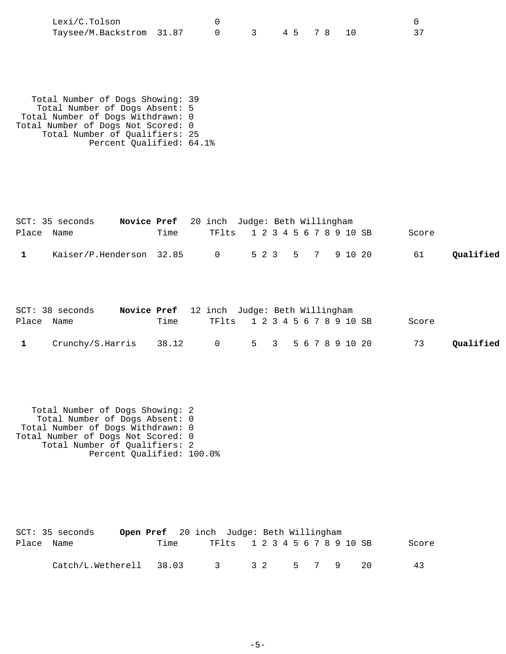| Lexi/C.Tolson            |              |  |  |  |
|--------------------------|--------------|--|--|--|
| Taysee/M.Backstrom 31.87 | 0 3 45 78 10 |  |  |  |

 Total Number of Dogs Showing: 39 Total Number of Dogs Absent: 5 Total Number of Dogs Withdrawn: 0 Total Number of Dogs Not Scored: 0 Total Number of Qualifiers: 25 Percent Qualified: 64.1%

|            | Novice Pref 20 inch Judge: Beth Willingham<br>SCT: 35 seconds |      |                               |  |  |  |  |       |           |
|------------|---------------------------------------------------------------|------|-------------------------------|--|--|--|--|-------|-----------|
| Place Name |                                                               | Time | TF1ts 1 2 3 4 5 6 7 8 9 10 SB |  |  |  |  | Score |           |
|            | Kaiser/P.Henderson 32.85 0 523 5 7 9 10 20                    |      |                               |  |  |  |  | 61    | Oualified |

|              | SCT: 38 seconds                              |      | <b>Novice Pref</b> 12 inch Judge: Beth Willingham |                               |  |  |       |           |
|--------------|----------------------------------------------|------|---------------------------------------------------|-------------------------------|--|--|-------|-----------|
| Place Name   |                                              | Time |                                                   | TF1ts 1 2 3 4 5 6 7 8 9 10 SB |  |  | Score |           |
| $\mathbf{1}$ | Crunchy/S.Harris 38.12 0 5 3 5 6 7 8 9 10 20 |      |                                                   |                               |  |  | 73    | Oualified |

 Total Number of Dogs Showing: 2 Total Number of Dogs Absent: 0 Total Number of Dogs Withdrawn: 0 Total Number of Dogs Not Scored: 0 Total Number of Qualifiers: 2 Percent Qualified: 100.0%

|            | SCT: 35 seconds         | Open Pref 20 inch Judge: Beth Willingham |               |                               |  |  |  |  |  |       |  |
|------------|-------------------------|------------------------------------------|---------------|-------------------------------|--|--|--|--|--|-------|--|
| Place Name |                         | Time                                     |               | TF1ts 1 2 3 4 5 6 7 8 9 10 SB |  |  |  |  |  | Score |  |
|            | Catch/L.Wetherell 38.03 |                                          | 3 32 5 7 9 20 |                               |  |  |  |  |  | 43    |  |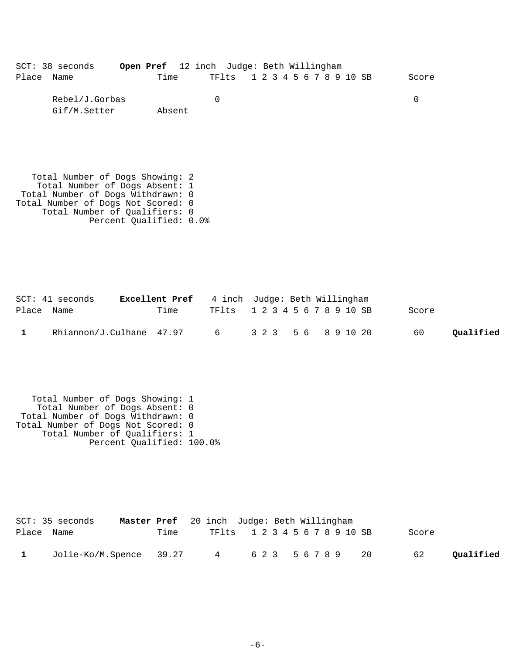|            | SCT: 38 seconds | Open Pref 12 inch Judge: Beth Willingham |      |  |                               |  |  |  |  |  |       |
|------------|-----------------|------------------------------------------|------|--|-------------------------------|--|--|--|--|--|-------|
| Place Name |                 |                                          | Time |  | TF1ts 1 2 3 4 5 6 7 8 9 10 SB |  |  |  |  |  | Score |

| Rebel/J.Gorbas |        |  |
|----------------|--------|--|
| Gif/M.Setter   | Absent |  |

 Total Number of Dogs Showing: 2 Total Number of Dogs Absent: 1 Total Number of Dogs Withdrawn: 0 Total Number of Dogs Not Scored: 0 Total Number of Qualifiers: 0 Percent Qualified: 0.0%

|            | $SCT: 41$ seconds                        | <b>Excellent Pref</b> 4 inch Judge: Beth Willingham |                               |  |  |  |  |  |  |       |           |
|------------|------------------------------------------|-----------------------------------------------------|-------------------------------|--|--|--|--|--|--|-------|-----------|
| Place Name |                                          | Time                                                | TF1ts 1 2 3 4 5 6 7 8 9 10 SB |  |  |  |  |  |  | Score |           |
|            | Rhiannon/J.Culhane 47.97 6 323 56 891020 |                                                     |                               |  |  |  |  |  |  | 60    | Qualified |

 Total Number of Dogs Showing: 1 Total Number of Dogs Absent: 0 Total Number of Dogs Withdrawn: 0 Total Number of Dogs Not Scored: 0 Total Number of Qualifiers: 1 Percent Qualified: 100.0%

|            | SCT: 35 seconds         |      | Master Pref 20 inch Judge: Beth Willingham |  |           |    |       |           |
|------------|-------------------------|------|--------------------------------------------|--|-----------|----|-------|-----------|
| Place Name |                         | Time | TF1ts 1 2 3 4 5 6 7 8 9 10 SB              |  |           |    | Score |           |
|            | Jolie-Ko/M.Spence 39.27 |      | $4\overline{4}$                            |  | 623 56789 | 20 | 62    | Qualified |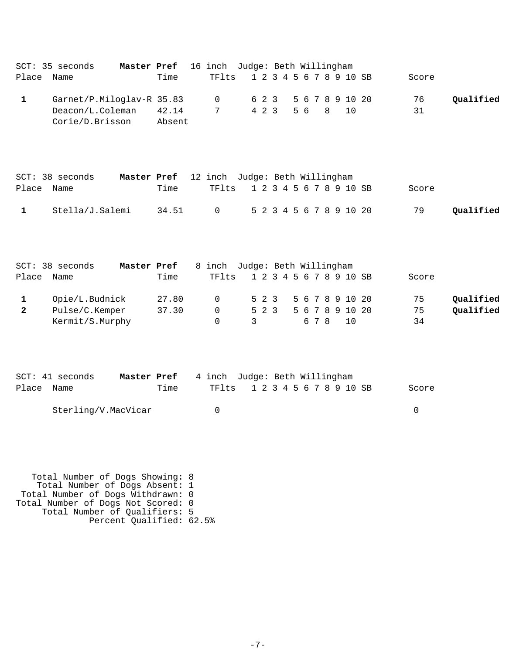| Place             | Master Pref<br>SCT: 35 seconds<br>Name                           | Time            | 16 inch Judge: Beth Willingham<br>TFlts     | 1 2 3 4 5 6 7 8 9 10 SB                 |  |     |       |   |                                          | Score                |                        |
|-------------------|------------------------------------------------------------------|-----------------|---------------------------------------------|-----------------------------------------|--|-----|-------|---|------------------------------------------|----------------------|------------------------|
| $\mathbf{1}$      | Garnet/P.Miloglav-R 35.83<br>Deacon/L.Coleman<br>Corie/D.Brisson | 42.14<br>Absent | 0<br>7                                      | 6 2 3<br>4 2 3                          |  | 5 6 |       | 8 | 5 6 7 8 9 10 20<br>10                    | 76<br>31             | Qualified              |
|                   | SCT: 38 seconds<br>Master Pref                                   |                 | 12 inch Judge: Beth Willingham              |                                         |  |     |       |   |                                          |                      |                        |
| Place Name        |                                                                  | Time            | TFlts                                       | 1 2 3 4 5 6 7 8 9 10 SB                 |  |     |       |   |                                          | Score                |                        |
| 1                 | Stella/J.Salemi                                                  | 34.51           | $\mathbf 0$                                 | 5 2 3 4 5 6 7 8 9 10 20                 |  |     |       |   |                                          | 79                   | Qualified              |
| Place             | SCT: 38 seconds<br>Master Pref<br>Name                           | Time            | 8 inch Judge: Beth Willingham<br>TFlts      | 1 2 3 4 5 6 7 8 9 10 SB                 |  |     |       |   |                                          | Score                |                        |
| 1<br>$\mathbf{2}$ | Opie/L.Budnick<br>Pulse/C.Kemper<br>Kermit/S.Murphy              | 27.80<br>37.30  | $\mathbf 0$<br>$\mathbf 0$<br>$\Omega$      | $5\quad2\quad3$<br>$5\quad2\quad3$<br>3 |  |     | 6 7 8 |   | 5 6 7 8 9 10 20<br>5 6 7 8 9 10 20<br>10 | 75<br>75<br>34       | Qualified<br>Qualified |
| Place Name        | SCT: 41 seconds<br>Master Pref<br>Sterling/V.MacVicar            | Time            | 4 inch Judge: Beth Willingham<br>TFlts<br>0 | 1 2 3 4 5 6 7 8 9 10 SB                 |  |     |       |   |                                          | Score<br>$\mathbf 0$ |                        |
|                   |                                                                  |                 |                                             |                                         |  |     |       |   |                                          |                      |                        |

 Total Number of Dogs Showing: 8 Total Number of Dogs Absent: 1 Total Number of Dogs Withdrawn: 0 Total Number of Dogs Not Scored: 0 Total Number of Qualifiers: 5 Percent Qualified: 62.5%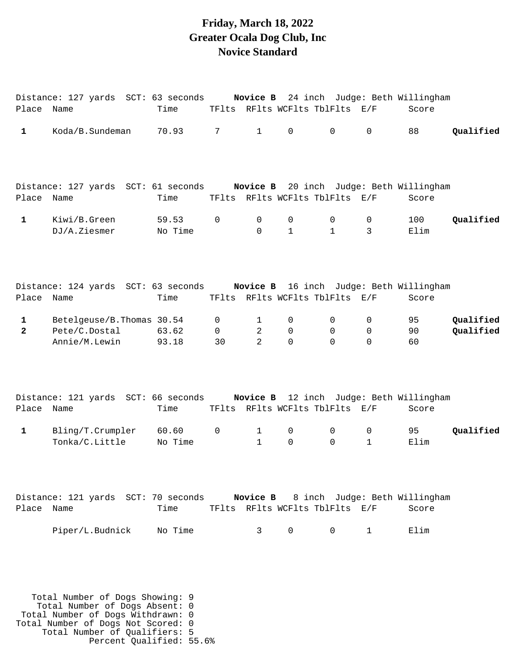### **Friday, March 18, 2022 Greater Ocala Dog Club, Inc Novice Standard**

|                               | Distance: 127 yards SCT: 63 seconds Novice B 24 inch Judge: Beth Willingham |                  |                     |                              |                                        |                                |                    |                                                  |                        |
|-------------------------------|-----------------------------------------------------------------------------|------------------|---------------------|------------------------------|----------------------------------------|--------------------------------|--------------------|--------------------------------------------------|------------------------|
| Place Name                    |                                                                             | Time             |                     |                              |                                        | TFlts RFlts WCFlts TblFlts E/F |                    | Score                                            |                        |
| 1                             | Koda/B.Sundeman                                                             | 70.93            | 7                   | $\mathbf{1}$                 | $\mathsf{O}$                           | $\mathsf{O}$                   | 0                  | 88                                               | Qualified              |
| Place Name                    | Distance: 127 yards SCT: 61 seconds Novice B 20 inch Judge: Beth Willingham | Time             |                     |                              |                                        | TFlts RFlts WCFlts TblFlts E/F |                    | Score                                            |                        |
| $\mathbf 1$                   | Kiwi/B.Green<br>DJ/A.Ziesmer                                                | 59.53<br>No Time | $\mathbf 0$         | 0<br>$\Omega$                | 0<br>$\mathbf{1}$                      | 0<br>$\mathbf{1}$              | 0<br>3             | 100<br>Elim                                      | Qualified              |
| Place Name                    | Distance: 124 yards SCT: 63 seconds                                         | Time             |                     |                              |                                        | TFlts RFlts WCFlts TblFlts E/F |                    | Novice B 16 inch Judge: Beth Willingham<br>Score |                        |
| $\mathbf 1$<br>$\overline{2}$ | Betelgeuse/B. Thomas 30.54<br>Pete/C.Dostal<br>Annie/M.Lewin                | 63.62<br>93.18   | 0<br>$\Omega$<br>30 | 1<br>2<br>2                  | $\mathbf 0$<br>$\mathbf 0$<br>$\Omega$ | 0<br>$\mathbf 0$<br>$\Omega$   | 0<br>0<br>$\Omega$ | 95<br>90<br>60                                   | Qualified<br>Qualified |
| Place                         | Distance: 121 yards SCT: 66 seconds<br>Name                                 | Time             |                     |                              |                                        | TFlts RFlts WCFlts TblFlts E/F |                    | Novice B 12 inch Judge: Beth Willingham<br>Score |                        |
| 1                             | Bling/T.Crumpler<br>Tonka/C.Little                                          | 60.60<br>No Time | 0                   | $\mathbf{1}$<br>$\mathbf{1}$ | 0<br>0                                 | 0<br>$\Omega$                  | 0<br>1             | 95<br>Elim                                       | Qualified              |
| Place Name                    | Distance: 121 yards SCT: 70 seconds Novice B 8 inch Judge: Beth Willingham  | Time             |                     |                              |                                        | TFlts RFlts WCFlts TblFlts E/F |                    | Score                                            |                        |
|                               | Piper/L.Budnick                                                             | No Time          |                     | 3                            | 0                                      | 0                              | $\mathbf{1}$       | Elim                                             |                        |

 Total Number of Dogs Showing: 9 Total Number of Dogs Absent: 0 Total Number of Dogs Withdrawn: 0 Total Number of Dogs Not Scored: 0 Total Number of Qualifiers: 5 Percent Qualified: 55.6%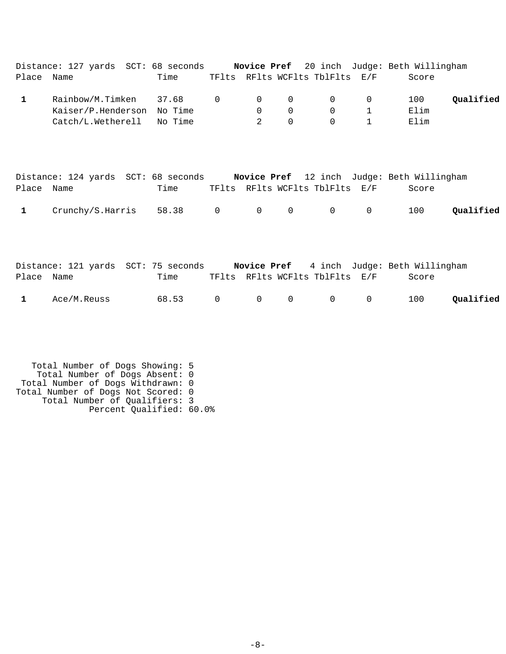| Place        | Distance: 127 yards SCT: 68 seconds Novice Pref 20 inch Judge: Beth Willingham<br>Name | Time                        |              |                                 |                                           | TFlts RFlts WCFlts TblFlts E/F            |                                            | Score               |           |
|--------------|----------------------------------------------------------------------------------------|-----------------------------|--------------|---------------------------------|-------------------------------------------|-------------------------------------------|--------------------------------------------|---------------------|-----------|
| $\mathbf{1}$ | Rainbow/M.Timken<br>Kaiser/P.Henderson<br>Catch/L.Wetherell                            | 37.68<br>No Time<br>No Time | $\mathbf 0$  | $\mathbf 0$<br>$\mathbf 0$<br>2 | $\mathbf 0$<br>$\mathbf 0$<br>$\mathbf 0$ | $\mathbf 0$<br>$\mathbf 0$<br>$\mathbf 0$ | $\mathsf{O}$<br>$\mathbf 1$<br>$\mathbf 1$ | 100<br>Elim<br>Elim | Qualified |
| Place        | Distance: 124 yards SCT: 68 seconds Novice Pref 12 inch Judge: Beth Willingham<br>Name | Time                        |              |                                 |                                           | TFlts RFlts WCFlts TblFlts E/F            |                                            | Score               |           |
| $\mathbf{1}$ | Crunchy/S.Harris                                                                       | 58.38                       | $\mathsf{O}$ | $\mathbf 0$                     | $\mathbf 0$                               | $\mathbf 0$                               | $\mathbf 0$                                | 100                 | Qualified |
|              |                                                                                        |                             |              |                                 |                                           |                                           |                                            |                     |           |
|              | Distance: 121 yards SCT: 75 seconds Novice Pref 4 inch Judge: Beth Willingham          |                             |              |                                 |                                           |                                           |                                            |                     |           |
|              |                                                                                        |                             |              |                                 |                                           |                                           |                                            |                     |           |

| 1 Ace/M.Reuss |  |  |  |  |
|---------------|--|--|--|--|
|               |  |  |  |  |

 Total Number of Dogs Showing: 5 Total Number of Dogs Absent: 0 Total Number of Dogs Withdrawn: 0 Total Number of Dogs Not Scored: 0 Total Number of Qualifiers: 3 Percent Qualified: 60.0%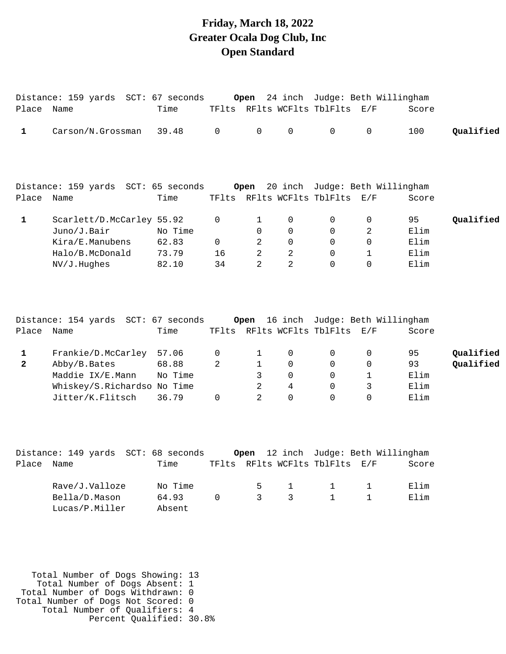### **Friday, March 18, 2022 Greater Ocala Dog Club, Inc Open Standard**

| Place Name   | Distance: 159 yards SCT: 67 seconds                                                                       | Time                               |                           | Open                                                   |                                                               | TFlts RFlts WCFlts TblFlts E/F         |                                                             | 24 inch Judge: Beth Willingham<br>Score |                        |
|--------------|-----------------------------------------------------------------------------------------------------------|------------------------------------|---------------------------|--------------------------------------------------------|---------------------------------------------------------------|----------------------------------------|-------------------------------------------------------------|-----------------------------------------|------------------------|
| 1            | Carson/N.Grossman                                                                                         | 39.48                              | $\mathbf 0$               | $\mathbf 0$                                            | 0                                                             | 0                                      | $\mathbf 0$                                                 | 100                                     | Qualified              |
| Place Name   | Distance: 159 yards SCT: 65 seconds                                                                       | Time                               |                           | Open                                                   | 20 inch                                                       | TFlts RFlts WCFlts TblFlts E/F         |                                                             | Judge: Beth Willingham<br>Score         |                        |
| $\mathbf{1}$ | Scarlett/D.McCarley 55.92<br>Juno/J.Bair<br>Kira/E.Manubens<br>Halo/B.McDonald<br>NV/J.Hughes             | No Time<br>62.83<br>73.79<br>82.10 | 0<br>$\Omega$<br>16<br>34 | 1<br>$\Omega$<br>2<br>$\overline{2}$<br>$\mathfrak{D}$ | 0<br>$\Omega$<br>$\Omega$<br>$\overline{2}$<br>$\overline{2}$ | $\mathbf 0$<br>0<br>$\Omega$<br>0<br>0 | $\mathbf 0$<br>2<br>$\Omega$<br>$\mathbf{1}$<br>$\mathbf 0$ | 95<br>Elim<br>Elim<br>Elim<br>Elim      | Qualified              |
| Place        | Distance: 154 yards SCT: 67 seconds<br>Name                                                               | Time                               |                           | Open                                                   |                                                               | TFlts RFlts WCFlts TblFlts E/F         |                                                             | 16 inch Judge: Beth Willingham<br>Score |                        |
| 1<br>2       | Frankie/D.McCarley<br>Abby/B.Bates<br>Maddie IX/E.Mann<br>Whiskey/S.Richardso No Time<br>Jitter/K.Flitsch | 57.06<br>68.88<br>No Time<br>36.79 | 0<br>$\overline{a}$<br>0  | 1<br>1<br>3<br>2<br>$\overline{2}$                     | 0<br>$\mathbf 0$<br>0<br>4<br>$\Omega$                        | 0<br>$\mathbf 0$<br>0<br>0<br>$\Omega$ | $\mathbf 0$<br>0<br>$\mathbf{1}$<br>3<br>$\Omega$           | 95<br>93<br>Elim<br>Elim<br>Elim        | Qualified<br>Qualified |

|            |                |  | Distance: 149 yards  SCT: 68 seconds |               |                |                                |     | Open 12 inch Judge: Beth Willingham |
|------------|----------------|--|--------------------------------------|---------------|----------------|--------------------------------|-----|-------------------------------------|
| Place Name |                |  | Time                                 |               |                | TFlts RFlts WCFlts TblFlts E/F |     | Score                               |
|            |                |  |                                      |               |                |                                |     |                                     |
|            | Rave/J.Valloze |  | No Time                              | $5 -$         | $\sim$ 1       |                                | 1 1 | Elim                                |
|            | Bella/D.Mason  |  | 64.93                                | $\mathcal{E}$ | $\overline{3}$ |                                |     | Elim                                |
|            | Lucas/P.Miller |  | Absent                               |               |                |                                |     |                                     |

 Total Number of Dogs Showing: 13 Total Number of Dogs Absent: 1 Total Number of Dogs Withdrawn: 0 Total Number of Dogs Not Scored: 0 Total Number of Qualifiers: 4 Percent Qualified: 30.8%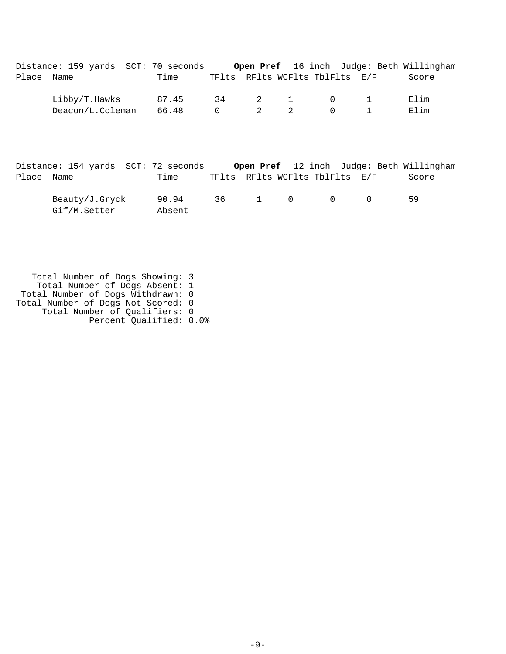|            | Distance: 159 yards SCT: 70 seconds Open Pref 16 inch Judge: Beth Willingham |       |                |                         |                |                                |       |
|------------|------------------------------------------------------------------------------|-------|----------------|-------------------------|----------------|--------------------------------|-------|
| Place Name |                                                                              | Time  |                |                         |                | TFlts RFlts WCFlts TblFlts E/F | Score |
|            | Libby/T.Hawks                                                                | 87.45 |                |                         |                | 34 2 1 0 1                     | Elim  |
|            | Deacon/L.Coleman                                                             | 66.48 | $\overline{0}$ | $\overline{\mathbf{c}}$ | $\overline{a}$ | $\Omega$                       | Elim  |
|            |                                                                              |       |                |                         |                |                                |       |
|            |                                                                              |       |                |                         |                |                                |       |

|            | Distance: 154 yards SCT: 72 seconds |                 |         |              |                                |  | <b>Open Pref</b> 12 inch Judge: Beth Willingham |  |
|------------|-------------------------------------|-----------------|---------|--------------|--------------------------------|--|-------------------------------------------------|--|
| Place Name |                                     | Time            |         |              | TFlts RFlts WCFlts TblFlts E/F |  | Score                                           |  |
|            | Beauty/J.Gryck<br>Gif/M.Setter      | 90.94<br>Absent | 36 - 36 | $1 \qquad 0$ | $\overline{a}$                 |  | 59                                              |  |

 Total Number of Dogs Showing: 3 Total Number of Dogs Absent: 1 Total Number of Dogs Withdrawn: 0 Total Number of Dogs Not Scored: 0 Total Number of Qualifiers: 0 Percent Qualified: 0.0%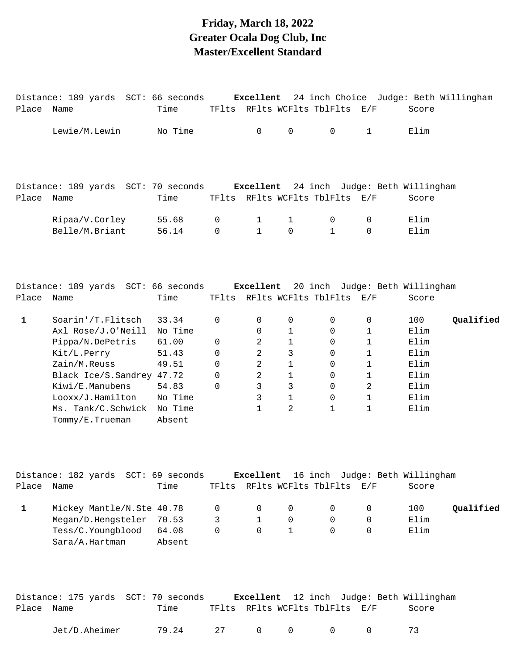## **Friday, March 18, 2022 Greater Ocala Dog Club, Inc Master/Excellent Standard**

| Place Name   | Distance: 189 yards SCT: 66 seconds Excellent | Time              |          |              |                     | TFlts RFlts WCFlts TblFlts E/F                                             |              | Score | 24 inch Choice Judge: Beth Willingham |
|--------------|-----------------------------------------------|-------------------|----------|--------------|---------------------|----------------------------------------------------------------------------|--------------|-------|---------------------------------------|
|              |                                               |                   |          |              |                     |                                                                            |              |       |                                       |
|              | Lewie/M.Lewin                                 | No Time           |          | $\mathsf 0$  | $\mathsf{O}\xspace$ | $\mathsf{O}$                                                               | $\mathbf 1$  | Elim  |                                       |
|              |                                               |                   |          |              |                     |                                                                            |              |       |                                       |
| Place Name   | Distance: 189 yards SCT: 70 seconds Excellent | Time              |          |              |                     | 24 inch Judge: Beth Willingham<br>TFlts RFlts WCFlts TblFlts E/F           |              | Score |                                       |
|              | Ripaa/V.Corley                                | 55.68             | 0        | $\mathbf 1$  | $\mathbf{1}$        | 0                                                                          | 0            | Elim  |                                       |
|              | Belle/M.Briant                                | 56.14             | 0        | $\mathbf{1}$ | $\mathbf 0$         | $\mathbf{1}$                                                               | $\mathbf 0$  | Elim  |                                       |
|              | Distance: 189 yards SCT: 66 seconds           |                   |          | Excellent    |                     | 20 inch Judge: Beth Willingham                                             |              |       |                                       |
| Place Name   |                                               | Time              |          |              |                     | TFlts RFlts WCFlts TblFlts E/F                                             |              | Score |                                       |
| $\mathbf{1}$ | Soarin'/T.Flitsch                             | 33.34             | 0        | 0            | 0                   | 0                                                                          | 0            | 100   | Qualified                             |
|              | Axl Rose/J.O'Neill                            | No Time           |          | 0            | 1                   | 0                                                                          | $\mathbf 1$  | Elim  |                                       |
|              | Pippa/N.DePetris                              | 61.00             | 0        | 2            | 1                   | 0                                                                          | $\mathbf 1$  | Elim  |                                       |
|              | Kit/L.Perry                                   | 51.43             | 0        | 2            | 3                   | 0                                                                          | 1            | Elim  |                                       |
|              | Zain/M.Reuss                                  | 49.51             | 0        | 2            | 1                   | 0                                                                          | $\mathbf{1}$ | Elim  |                                       |
|              | Black Ice/S.Sandrey 47.72                     |                   | 0        | 2            | 1                   | 0                                                                          | $\mathbf 1$  | Elim  |                                       |
|              | Kiwi/E.Manubens                               | 54.83             | 0        | 3            | 3                   | $\mathbf 0$                                                                | 2            | Elim  |                                       |
|              | Looxx/J.Hamilton                              | No Time           |          | 3            | 1                   | 0                                                                          | 1            | Elim  |                                       |
|              | Ms. Tank/C.Schwick<br>Tommy/E.Trueman         | No Time<br>Absent |          | $\mathbf{1}$ | 2                   | 1                                                                          | $\mathbf 1$  | Elim  |                                       |
|              | Distance: 182 yards SCT: 69 seconds           |                   |          | Excellent    |                     | 16 inch Judge: Beth Willingham                                             |              |       |                                       |
| Place Name   |                                               | Time              |          |              |                     | TFlts RFlts WCFlts TblFlts E/F                                             |              | Score |                                       |
| $\mathbf{1}$ | Mickey Mantle/N.Ste 40.78                     |                   | 0        | 0            | 0                   | 0                                                                          | 0            | 100   | Qualified                             |
|              | Megan/D.Hengsteler                            | 70.53             | 3        | 1            | 0                   | $\Omega$                                                                   | 0            | Elim  |                                       |
|              | Tess/C.Youngblood                             | 64.08             | $\Omega$ | $\Omega$     | $\mathbf{1}$        | 0                                                                          | $\Omega$     | Elim  |                                       |
|              | Sara/A.Hartman                                | Absent            |          |              |                     |                                                                            |              |       |                                       |
| Place Name   | Distance: 175 yards SCT: 70 seconds           | Time              |          |              |                     | Excellent 12 inch Judge: Beth Willingham<br>TFlts RFlts WCFlts TblFlts E/F |              | Score |                                       |
|              |                                               |                   |          |              |                     |                                                                            |              |       |                                       |

Jet/D.Aheimer 79.24 27 0 0 0 0 73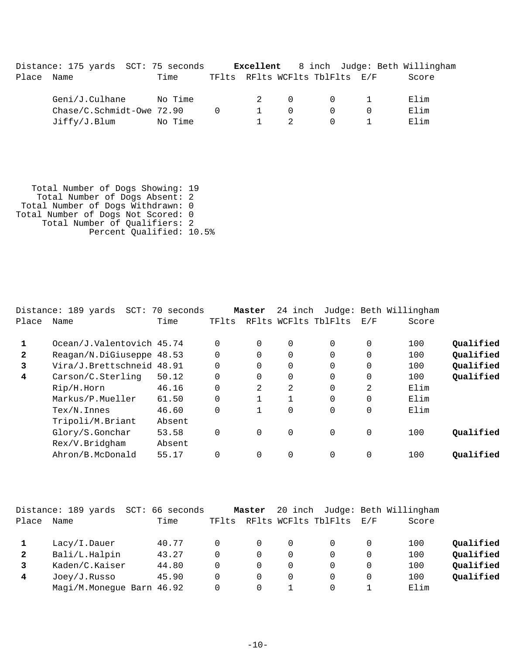Distance: 175 yards SCT: 75 seconds **Excellent** 8 inch Judge: Beth Willingham Place Name Time TFlts RFlts WCFlts TblFlts E/F Score Geni/J.Culhane No Time 2 0 0 1 Elim  $Chase/C.Schmidt-Owe 72.90$  0 1 0 0 0 Elim Jiffy/J.Blum No Time 1 2 0 1 Elim

 Total Number of Dogs Showing: 19 Total Number of Dogs Absent: 2 Total Number of Dogs Withdrawn: 0 Total Number of Dogs Not Scored: 0 Total Number of Qualifiers: 2 Percent Qualified: 10.5%

| Distance: 189 yards<br>SCT: |        |                                                                                                   |                      |                                |                      |                                                         |                      |                                      |
|-----------------------------|--------|---------------------------------------------------------------------------------------------------|----------------------|--------------------------------|----------------------|---------------------------------------------------------|----------------------|--------------------------------------|
| Name                        | Time   | TFlts                                                                                             |                      |                                |                      | E/F                                                     | Score                |                                      |
|                             |        |                                                                                                   |                      |                                |                      |                                                         |                      | Oualified                            |
|                             |        |                                                                                                   |                      |                                |                      |                                                         |                      |                                      |
|                             |        |                                                                                                   |                      |                                |                      |                                                         |                      | Qualified                            |
|                             |        | $\Omega$                                                                                          | $\Omega$             | 0                              | $\Omega$             | $\mathbf 0$                                             | 100                  | Qualified                            |
| Carson/C.Sterling           | 50.12  | $\Omega$                                                                                          | $\Omega$             | $\Omega$                       | $\Omega$             | $\Omega$                                                | 100                  | Qualified                            |
| Rip/H.Horn                  | 46.16  | $\Omega$                                                                                          | 2                    | 2                              | $\Omega$             | $\overline{2}$                                          | Elim                 |                                      |
| Markus/P.Mueller            | 61.50  | $\Omega$                                                                                          |                      | $\mathbf{1}$                   | $\Omega$             | 0                                                       | Elim                 |                                      |
| $Text/N$ . Innes            | 46.60  | $\Omega$                                                                                          |                      | 0                              | $\Omega$             | $\Omega$                                                | Elim                 |                                      |
| Tripoli/M.Briant            | Absent |                                                                                                   |                      |                                |                      |                                                         |                      |                                      |
| Glory/S.Gonchar             | 53.58  | 0                                                                                                 | 0                    | $\mathbf 0$                    | $\mathbf 0$          | 0                                                       | 100                  | Oualified                            |
| Rex/V.Bridgham              | Absent |                                                                                                   |                      |                                |                      |                                                         |                      |                                      |
| Ahron/B.McDonald            | 55.17  | $\Omega$                                                                                          | $\Omega$             | $\Omega$                       | $\Omega$             | $\Omega$                                                | 100                  | Oualified                            |
|                             |        | 70 seconds<br>Ocean/J.Valentovich 45.74<br>Reagan/N.DiGiuseppe 48.53<br>Vira/J.Brettschneid 48.91 | $\Omega$<br>$\Omega$ | Master<br>$\Omega$<br>$\Omega$ | $\Omega$<br>$\Omega$ | 24 inch<br>RFlts WCFlts TblFlts<br>$\Omega$<br>$\Omega$ | $\Omega$<br>$\Omega$ | Judge: Beth Willingham<br>100<br>100 |

|              | Distance: 189 yards<br>SCT: | 66 seconds |       | Master |          |                      |     | 20 inch Judge: Beth Willingham |           |
|--------------|-----------------------------|------------|-------|--------|----------|----------------------|-----|--------------------------------|-----------|
| Place        | Name                        | Time       | TFlts |        |          | RFlts WCFlts TblFlts | E/F | Score                          |           |
|              | Lacy/I.Dauer                | 40.77      |       | 0      | $\Omega$ |                      |     | 100                            | Oualified |
| $\mathbf{2}$ | Bali/L.Halpin               | 43.27      |       | 0      | $\Omega$ |                      |     | 100                            | Qualified |
|              | Kaden/C.Kaiser              | 44.80      |       | 0      | $\Omega$ |                      |     | 100                            | Qualified |
| 4            | Joey/J.Russo                | 45.90      | 0     | 0      | $\Omega$ |                      |     | 100                            | Qualified |
|              | Magi/M.Monegue Barn 46.92   |            |       |        |          |                      |     | Elim                           |           |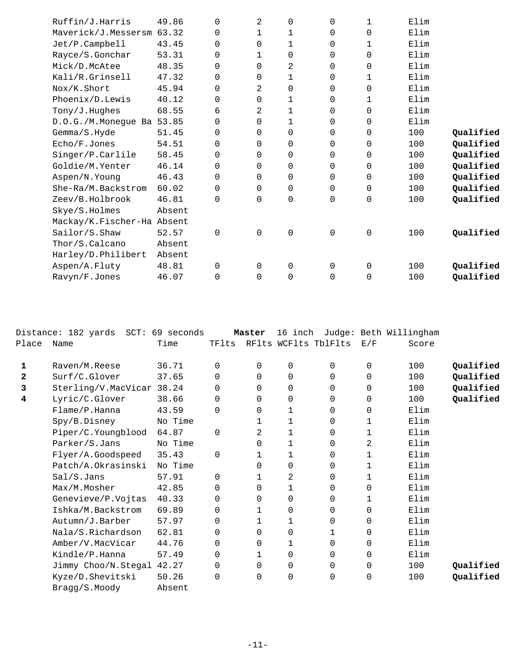| Ruffin/J.Harris            | 49.86  | $\Omega$    | $\overline{2}$ | 0              | $\Omega$    | 1 | Elim |           |
|----------------------------|--------|-------------|----------------|----------------|-------------|---|------|-----------|
| Maverick/J.Messersm 63.32  |        | $\Omega$    | 1              | 1              | $\Omega$    | 0 | Elim |           |
| Jet/P.Campbell             | 43.45  | $\Omega$    | $\Omega$       | $\mathbf{1}$   | $\Omega$    | 1 | Elim |           |
| Rayce/S.Gonchar            | 53.31  | $\Omega$    | 1              | 0              | $\mathbf 0$ | 0 | Elim |           |
| Mick/D.McAtee              | 48.35  | $\Omega$    | $\Omega$       | $\overline{2}$ | $\Omega$    | 0 | Elim |           |
| Kali/R.Grinsell            | 47.32  | $\Omega$    | 0              | 1              | $\mathbf 0$ | 1 | Elim |           |
| Nox/K.Short                | 45.94  | $\Omega$    | $\overline{2}$ | 0              | $\mathbf 0$ | 0 | Elim |           |
| Phoenix/D.Lewis            | 40.12  | 0           | $\mathbf 0$    | 1              | $\mathbf 0$ | 1 | Elim |           |
| Tony/J.Hughes              | 68.55  | 6           | 2              | 1              | 0           | 0 | Elim |           |
| D.O.G./M.Monegue Ba 53.85  |        | 0           | $\mathbf 0$    | 1              | 0           | 0 | Elim |           |
| Gemma/S.Hyde               | 51.45  | $\Omega$    | $\mathbf 0$    | 0              | 0           | 0 | 100  | Qualified |
| Echo/F.Jones               | 54.51  | 0           | $\mathbf 0$    | 0              | $\mathbf 0$ | 0 | 100  | Qualified |
| Singer/P.Carlile           | 58.45  | $\Omega$    | $\mathbf 0$    | 0              | 0           | 0 | 100  | Qualified |
| Goldie/M.Yenter            | 46.14  | $\mathbf 0$ | $\mathbf 0$    | 0              | $\mathbf 0$ | 0 | 100  | Qualified |
| Aspen/N.Young              | 46.43  | $\Omega$    | $\Omega$       | $\Omega$       | $\mathbf 0$ | 0 | 100  | Qualified |
| She-Ra/M.Backstrom         | 60.02  | $\Omega$    | $\Omega$       | 0              | $\mathbf 0$ | 0 | 100  | Qualified |
| Zeev/B.Holbrook            | 46.81  | $\Omega$    | $\Omega$       | 0              | 0           | 0 | 100  | Qualified |
| Skye/S.Holmes              | Absent |             |                |                |             |   |      |           |
| Mackay/K.Fischer-Ha Absent |        |             |                |                |             |   |      |           |
| Sailor/S.Shaw              | 52.57  | $\Omega$    | 0              | 0              | $\mathbf 0$ | 0 | 100  | Qualified |
| Thor/S.Calcano             | Absent |             |                |                |             |   |      |           |
| Harley/D.Philibert         | Absent |             |                |                |             |   |      |           |
| Aspen/A.Fluty              | 48.81  | 0           | $\mathbf 0$    | 0              | $\mathbf 0$ | 0 | 100  | Qualified |
| Ravyn/F.Jones              | 46.07  | $\Omega$    | $\Omega$       | $\Omega$       | $\Omega$    | 0 | 100  | Qualified |
|                            |        |             |                |                |             |   |      |           |

|              | Distance: 182 yards SCT: 69 seconds |         |          | Master       |          |                      |             | 16 inch Judge: Beth Willingham |           |
|--------------|-------------------------------------|---------|----------|--------------|----------|----------------------|-------------|--------------------------------|-----------|
| Place        | Name                                | Time    | TFlts    |              |          | RFlts WCFlts TblFlts | E/F         | Score                          |           |
|              |                                     |         |          |              |          |                      |             |                                |           |
| 1            | Raven/M.Reese                       | 36.71   | $\Omega$ | $\Omega$     | 0        | 0                    | $\mathbf 0$ | 100                            | Qualified |
| $\mathbf{z}$ | Surf/C.Glover                       | 37.65   | $\Omega$ | $\Omega$     | $\Omega$ | $\Omega$             | $\Omega$    | 100                            | Qualified |
| 3            | Sterling/V.MacVicar 38.24           |         | $\Omega$ | $\Omega$     | 0        | $\Omega$             | 0           | 100                            | Qualified |
| 4            | Lyric/C.Glover                      | 38.66   | 0        | $\Omega$     | 0        | $\Omega$             | 0           | 100                            | Qualified |
|              | Flame/P.Hanna                       | 43.59   | 0        | $\Omega$     | 1        | 0                    | 0           | Elim                           |           |
|              | Spy/B.Disney                        | No Time |          |              | 1        | 0                    | 1           | Elim                           |           |
|              | Piper/C.Youngblood                  | 64.87   | $\Omega$ | 2            | 1        | 0                    | 1           | Elim                           |           |
|              | Parker/S.Jans                       | No Time |          | 0            | 1        | 0                    | 2           | Elim                           |           |
|              | Flyer/A.Goodspeed                   | 35.43   | $\Omega$ | $\mathbf{1}$ | 1        | 0                    | 1           | Elim                           |           |
|              | Patch/A.Okrasinski                  | No Time |          | $\Omega$     | 0        | 0                    | 1           | Elim                           |           |
|              | Sal/S.Jans                          | 57.91   | $\Omega$ |              | 2        | 0                    | 1           | Elim                           |           |
|              | Max/M.Mosher                        | 42.85   | $\Omega$ | $\Omega$     | 1        | 0                    | $\Omega$    | Elim                           |           |
|              | Genevieve/P.Vojtas                  | 40.33   | $\Omega$ | $\Omega$     | 0        | $\Omega$             | 1           | Elim                           |           |
|              | Ishka/M.Backstrom                   | 69.89   | $\Omega$ | $\mathbf{1}$ | 0        | $\Omega$             | $\Omega$    | Elim                           |           |
|              | Autumn/J.Barber                     | 57.97   | $\Omega$ | 1            | 1        | $\Omega$             | $\Omega$    | Elim                           |           |
|              | Nala/S.Richardson                   | 62.81   | 0        | $\Omega$     | 0        | 1                    | 0           | Elim                           |           |
|              | Amber/V.MacVicar                    | 44.76   | 0        | 0            | 1        | 0                    | 0           | Elim                           |           |
|              | Kindle/P.Hanna                      | 57.49   | 0        | $\mathbf{1}$ | 0        | 0                    | 0           | Elim                           |           |
|              | Jimmy Choo/N.Stegal                 | 42.27   | 0        | 0            | 0        | 0                    | 0           | 100                            | Qualified |
|              | Kyze/D.Shevitski                    | 50.26   | 0        | 0            | 0        | 0                    | 0           | 100                            | Qualified |
|              | Bragg/S.Moody                       | Absent  |          |              |          |                      |             |                                |           |
|              |                                     |         |          |              |          |                      |             |                                |           |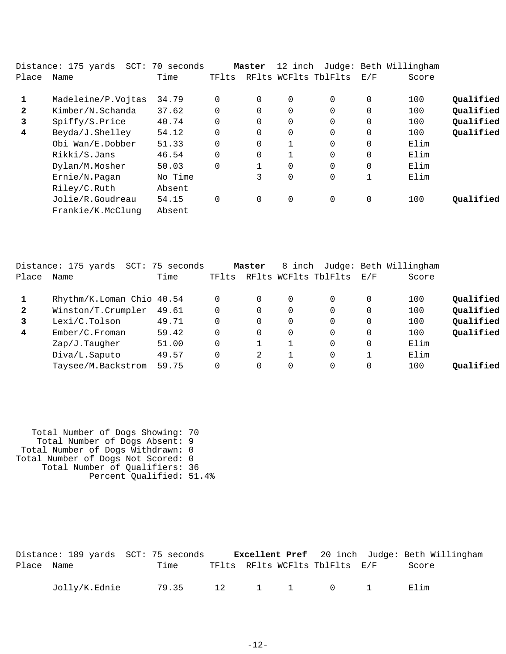|              | Distance: 175 yards<br>$SCT$ : | 70 seconds |          | Master   | 12 inch        |                      |             | Judge: Beth Willingham |           |
|--------------|--------------------------------|------------|----------|----------|----------------|----------------------|-------------|------------------------|-----------|
| Place        | Name                           | Time       | TFlts    |          |                | RFlts WCFlts TblFlts | E/F         | Score                  |           |
| 1            | Madeleine/P.Vojtas             | 34.79      | $\Omega$ | $\Omega$ | $\overline{0}$ | $\Omega$             | $\Omega$    | 100                    | Qualified |
| $\mathbf{2}$ | Kimber/N.Schanda               | 37.62      | $\Omega$ | $\Omega$ | 0              | 0                    | 0           | 100                    | Qualified |
| 3            | Spiffy/S.Price                 | 40.74      | 0        | 0        | $\overline{0}$ | 0                    | 0           | 100                    | Qualified |
| 4            | Beyda/J.Shelley                | 54.12      | $\Omega$ | 0        | $\overline{0}$ | $\Omega$             | $\Omega$    | 100                    | Qualified |
|              | Obi Wan/E.Dobber               | 51.33      | $\Omega$ | $\Omega$ | $\mathbf{1}$   | $\Omega$             | 0           | Elim                   |           |
|              | Rikki/S.Jans                   | 46.54      | $\Omega$ | 0        |                | $\Omega$             | 0           | Elim                   |           |
|              | Dylan/M.Mosher                 | 50.03      | $\Omega$ |          | $\overline{0}$ | $\Omega$             | 0           | Elim                   |           |
|              | Ernie/N.Pagan                  | No Time    |          | 3        | $\overline{0}$ | 0                    | $\mathbf 1$ | Elim                   |           |
|              | Riley/C.Ruth                   | Absent     |          |          |                |                      |             |                        |           |
|              | Jolie/R.Goudreau               | 54.15      | $\Omega$ | 0        | $\mathbf 0$    | 0                    | 0           | 100                    | Oualified |
|              | Frankie/K.McClunq              | Absent     |          |          |                |                      |             |                        |           |

|              | Distance: 175 yards       | SCT: 75 seconds |       | Master   | 8 inch   |                          |             | Judge: Beth Willingham |           |
|--------------|---------------------------|-----------------|-------|----------|----------|--------------------------|-------------|------------------------|-----------|
| Place        | Name                      | Time            | TFlts |          |          | RFlts WCFlts TblFlts E/F |             | Score                  |           |
|              | Rhythm/K.Loman Chio 40.54 |                 |       | 0        | $\Omega$ | $\Omega$                 | $\mathbf 0$ | 100                    | Qualified |
| $\mathbf{2}$ | Winston/T.Crumpler        | 49.61           |       | 0        | 0        | 0                        | 0           | 100                    | Qualified |
| 3            | Lexi/C.Tolson             | 49.71           |       | $\Omega$ | 0        | 0                        |             | 100                    | Qualified |
| 4            | Ember/C.Froman            | 59.42           |       | $\Omega$ | 0        | 0                        | 0           | 100                    | Qualified |
|              | Zap/J.Tauqher             | 51.00           |       |          |          | 0                        | 0           | Elim                   |           |
|              | Diva/L.Saputo             | 49.57           |       | 2        |          | 0                        |             | Elim                   |           |
|              | Taysee/M.Backstrom        | 59.75           |       | 0        | 0        | 0                        | 0           | 100                    | Oualified |
|              |                           |                 |       |          |          |                          |             |                        |           |

 Total Number of Dogs Showing: 70 Total Number of Dogs Absent: 9 Total Number of Dogs Withdrawn: 0 Total Number of Dogs Not Scored: 0 Total Number of Qualifiers: 36 Percent Qualified: 51.4%

|            |               | Distance: 189 yards SCT: 75 seconds |  |                                | <b>Excellent Pref</b> 20 inch Judge: Beth Willingham |
|------------|---------------|-------------------------------------|--|--------------------------------|------------------------------------------------------|
| Place Name |               | Time                                |  | TFlts RFlts WCFlts TblFlts E/F | Score                                                |
|            | Jolly/K.Ednie | 79.35                               |  | 12 1 1 0 1                     | Filim                                                |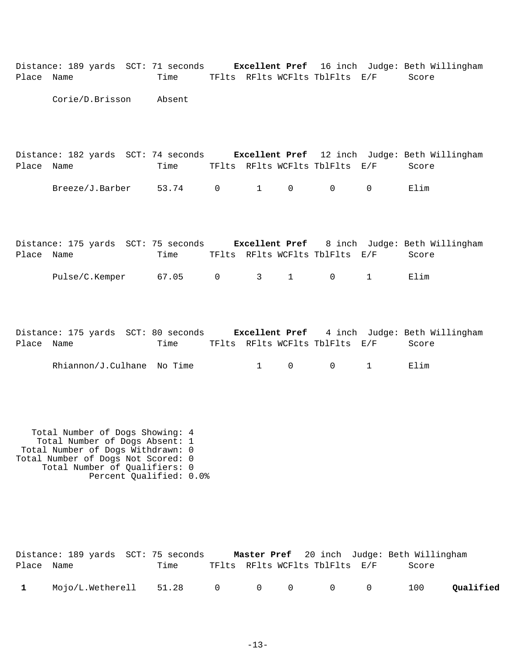|            | Distance: 189 yards SCT: 71 seconds <b>Excellent Pref</b> 16 inch Judge: Beth Willingham |        |                |          |                |                                |          |                                                               |
|------------|------------------------------------------------------------------------------------------|--------|----------------|----------|----------------|--------------------------------|----------|---------------------------------------------------------------|
| Place Name |                                                                                          | Time   |                |          |                | TFlts RFlts WCFlts TblFlts E/F |          | Score                                                         |
|            | Corie/D.Brisson                                                                          | Absent |                |          |                |                                |          |                                                               |
| Place Name | Distance: 182 yards SCT: 74 seconds                                                      | Time   |                |          |                | TFlts RFlts WCFlts TblFlts E/F |          | <b>Excellent Pref</b> 12 inch Judge: Beth Willingham<br>Score |
|            | Breeze/J.Barber                                                                          | 53.74  | $\overline{0}$ | $\sim$ 1 | $\overline{0}$ | 0                              | $\Omega$ | Elim                                                          |
|            |                                                                                          |        |                |          |                |                                |          |                                                               |

|            | Distance: 175 yards SCT: 75 seconds |       |  |                                | <b>Excellent Pref</b> 8 inch Judge: Beth Willingham |
|------------|-------------------------------------|-------|--|--------------------------------|-----------------------------------------------------|
| Place Name |                                     | Time  |  | TFlts RFlts WCFlts TblFlts E/F | Score                                               |
|            | Pulse/C.Kemper                      | 67.05 |  | 0 3 1 0 1                      | Elim                                                |

|            |  |  | Distance: 175 yards SCT: 80 seconds |  |                                |  |       | Excellent Pref 4 inch Judge: Beth Willingham |
|------------|--|--|-------------------------------------|--|--------------------------------|--|-------|----------------------------------------------|
| Place Name |  |  | Time                                |  | TFlts RFlts WCFlts TblFlts E/F |  | Score |                                              |
|            |  |  |                                     |  |                                |  |       |                                              |

| Rhiannon/J.Culhane | No<br>Time |  |  |  |  |  | $\perp$ 1 m |
|--------------------|------------|--|--|--|--|--|-------------|
|--------------------|------------|--|--|--|--|--|-------------|

 Total Number of Dogs Showing: 4 Total Number of Dogs Absent: 1 Total Number of Dogs Withdrawn: 0 Total Number of Dogs Not Scored: 0 Total Number of Qualifiers: 0 Percent Qualified: 0.0%

|            | Distance: 189 yards SCT: 75 seconds |      |  |                                | Master Pref 20 inch Judge: Beth Willingham |           |
|------------|-------------------------------------|------|--|--------------------------------|--------------------------------------------|-----------|
| Place Name |                                     | Time |  | TFlts RFlts WCFlts TblFlts E/F | Score                                      |           |
|            | Mojo/L. Wetherell 51.28 0 0 0 0 0   |      |  |                                | 100                                        | Qualified |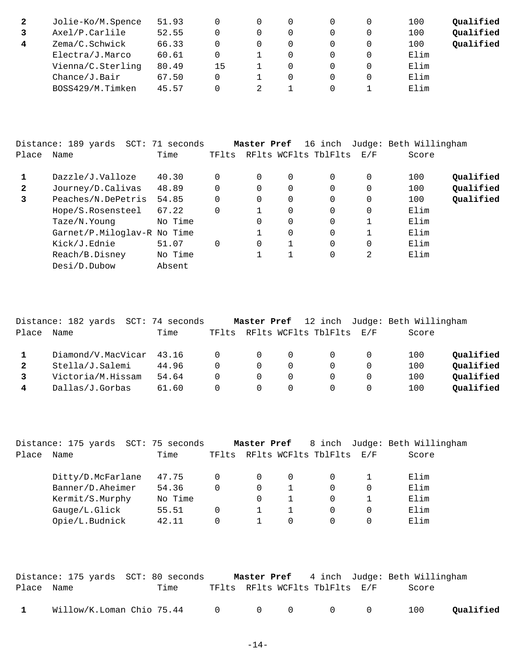| 2 | Jolie-Ko/M.Spence | 51.93 |    |  |   | 100  | Qualified |
|---|-------------------|-------|----|--|---|------|-----------|
|   | Axel/P.Carlile    | 52.55 |    |  |   | 100  | Qualified |
| 4 | Zema/C.Schwick    | 66.33 |    |  |   | 100  | Qualified |
|   | Electra/J.Marco   | 60.61 |    |  |   | Elim |           |
|   | Vienna/C.Sterling | 80.49 | 15 |  |   | Elim |           |
|   | Change/J.Bair     | 67.50 |    |  | 0 | Elim |           |
|   | BOSS429/M.Timken  | 45.57 |    |  |   | Elim |           |

|              | Distance: 189 yards         | SCT: 71 seconds |          | Master Pref |          | 16 inch              |             | Judge: Beth Willingham |           |
|--------------|-----------------------------|-----------------|----------|-------------|----------|----------------------|-------------|------------------------|-----------|
| Place        | Name                        | Time            | TFlts    |             |          | RFlts WCFlts TblFlts | E/F         | Score                  |           |
|              | Dazzle/J.Valloze            | 40.30           | 0        | 0           | 0        | 0                    | 0           | 100                    | Qualified |
| $\mathbf{2}$ | Journey/D.Calivas           | 48.89           | 0        | 0           | 0        | 0                    | 0           | 100                    | Qualified |
| 3            | Peaches/N.DePetris          | 54.85           | $\Omega$ | 0           | 0        | 0                    | 0           | 100                    | Qualified |
|              | Hope/S.Rosensteel           | 67.22           | 0        |             | $\Omega$ | $\Omega$             | $\Omega$    | Elim                   |           |
|              | Taze/N.Young                | No Time         |          | 0           | 0        | 0                    | 1           | Elim                   |           |
|              | Garnet/P.Miloglav-R No Time |                 |          |             | 0        | 0                    |             | Elim                   |           |
|              | Kick/J.Ednie                | 51.07           | $\Omega$ | 0           |          | $\Omega$             | $\mathbf 0$ | Elim                   |           |
|              | Reach/B.Disney              | No Time         |          |             |          | 0                    | 2           | Elim                   |           |
|              | Desi/D.Dubow                | Absent          |          |             |          |                      |             |                        |           |

|       | Distance: 182 yards SCT: 74 seconds |       |                | Master Pref |          |                      |          | 12 inch Judge: Beth Willingham |           |
|-------|-------------------------------------|-------|----------------|-------------|----------|----------------------|----------|--------------------------------|-----------|
| Place | Name                                | Time  | TFlts          |             |          | RFlts WCFlts TblFlts | E/F      | Score                          |           |
|       | Diamond/V.MacVicar                  | 43.16 | $\overline{0}$ | $\Omega$    | $\Omega$ |                      |          | 100                            | Qualified |
|       | Stella/J.Salemi                     | 44.96 | $\Omega$       | $\Omega$    | $\Omega$ |                      |          | 100                            | Qualified |
|       | Victoria/M.Hissam                   | 54.64 | $\Omega$       | $\Omega$    | $\Omega$ |                      |          | 100                            | Oualified |
|       | Dallas/J.Gorbas                     | 61.60 | $\Omega$       | $\Omega$    | $\Omega$ |                      | $\Omega$ | 100                            | Oualified |

|            | Distance: 175 yards | SCT: 75 seconds |          | Master Pref |   |                          | 8 inch Judge: Beth Willingham |
|------------|---------------------|-----------------|----------|-------------|---|--------------------------|-------------------------------|
| Place Name |                     | Time            | TFlts    |             |   | RFlts WCFlts TblFlts E/F | Score                         |
|            | Ditty/D.McFarlane   | 47.75           |          | 0           | 0 |                          | Elim                          |
|            | Banner/D.Aheimer    | 54.36           | $\Omega$ | 0           |   |                          | Elim                          |
|            | Kermit/S.Murphy     | No Time         |          | $\Omega$    |   |                          | Elim                          |
|            | Gauge/L.Glick       | 55.51           | 0        |             |   | 0                        | Elim                          |
|            | Opie/L.Budnick      | 42.11           |          |             | 0 | 0                        | Elim                          |
|            |                     |                 |          |             |   |                          |                               |

|              | Distance: 175 yards  SCT: 80 seconds                    |      |  |                                | <b>Master Pref</b> 4 inch Judge: Beth Willingham |           |
|--------------|---------------------------------------------------------|------|--|--------------------------------|--------------------------------------------------|-----------|
| Place Name   |                                                         | Time |  | TFlts RFlts WCFlts TblFlts E/F | Score                                            |           |
| $\mathbf{1}$ | Willow/K.Loman Chio 75.44     0     0     0     0     0 |      |  |                                | 100                                              | Qualified |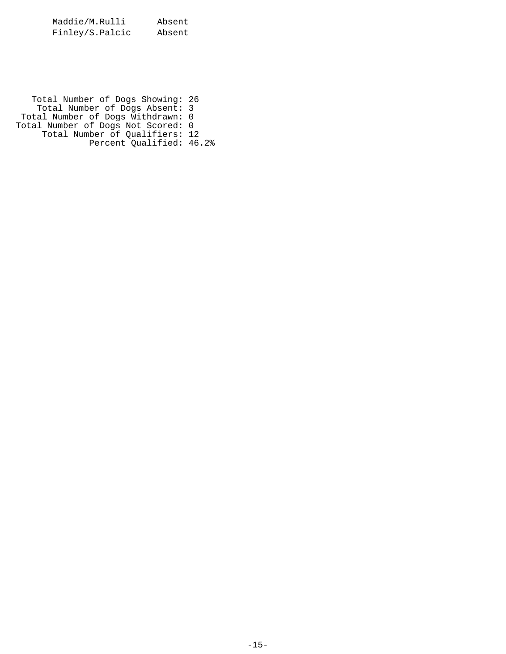Maddie/M.Rulli Absent Finley/S.Palcic Absent

 Total Number of Dogs Showing: 26 Total Number of Dogs Absent: 3 Total Number of Dogs Withdrawn: 0 Total Number of Dogs Not Scored: 0 Total Number of Qualifiers: 12 Percent Qualified: 46.2%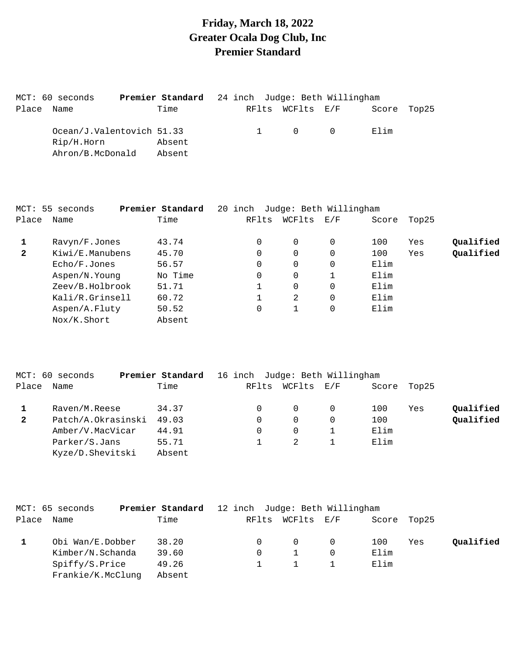## **Friday, March 18, 2022 Greater Ocala Dog Club, Inc Premier Standard**

|       | MCT: 60 seconds           | Premier Standard 24 inch Judge: Beth Willingham |  |                                     |             |  |
|-------|---------------------------|-------------------------------------------------|--|-------------------------------------|-------------|--|
| Place | Name                      | Time                                            |  | RFlts WCFlts E/F                    | Score Top25 |  |
|       | Ocean/J.Valentovich 51.33 |                                                 |  | $\begin{matrix} 0 & 0 \end{matrix}$ | Elim        |  |
|       | Rip/H.Horn                | Absent                                          |  |                                     |             |  |
|       | Ahron/B.McDonald          | Absent                                          |  |                                     |             |  |

|              | MCT: 55 seconds | Premier Standard | 20 inch  | Judge: Beth Willingham |                                                           |       |       |           |
|--------------|-----------------|------------------|----------|------------------------|-----------------------------------------------------------|-------|-------|-----------|
| Place        | Name            | Time             | RFlts    | WCFlts                 | $\mathop{\rm E{}}\nolimits$ / $\mathop{\rm F{}}\nolimits$ | Score | Top25 |           |
|              | Ravyn/F.Jones   | 43.74            | $\Omega$ | $\Omega$               | 0                                                         | 100   | Yes   | Qualified |
| $\mathbf{2}$ | Kiwi/E.Manubens | 45.70            | 0        | 0                      | 0                                                         | 100   | Yes   | Qualified |
|              | Echo/F.Jones    | 56.57            | 0        | $\mathbf 0$            |                                                           | Elim  |       |           |
|              | Aspen/N.Young   | No Time          | 0        | $\mathbf 0$            |                                                           | Elim  |       |           |
|              | Zeev/B.Holbrook | 51.71            |          | $\mathbf 0$            |                                                           | Elim  |       |           |
|              | Kali/R.Grinsell | 60.72            |          | 2                      |                                                           | Elim  |       |           |
|              | Aspen/A.Fluty   | 50.52            | 0        |                        |                                                           | Elim  |       |           |
|              | Nox/K.Short     | Absent           |          |                        |                                                           |       |       |           |

|              | MCT: 60 seconds    | Premier Standard | 16 inch Judge: Beth Willingham |        |     |       |       |           |
|--------------|--------------------|------------------|--------------------------------|--------|-----|-------|-------|-----------|
| Place        | Name               | Time             | RFlts                          | WCFlts | E/F | Score | Top25 |           |
|              | Raven/M.Reese      | 34.37            |                                | 0      |     | 100   | Yes   | Qualified |
| $\mathbf{2}$ | Patch/A.Okrasinski | 49.03            |                                | 0      |     | 100   |       | Qualified |
|              | Amber/V.MacVicar   | 44.91            |                                |        |     | Elim  |       |           |
|              | Parker/S.Jans      | 55.71            |                                |        |     | Elim  |       |           |
|              | Kyze/D.Shevitski   | Absent           |                                |        |     |       |       |           |

|       | MCT: 65 seconds   | Premier Standard | 12 inch Judge: Beth Willingham |                  |      |             |           |
|-------|-------------------|------------------|--------------------------------|------------------|------|-------------|-----------|
| Place | Name              | Time             |                                | RFlts WCFlts E/F |      | Score Top25 |           |
|       | Obi Wan/E.Dobber  | 38.20            |                                | $\Omega$         | 100  | Yes         | Qualified |
|       | Kimber/N.Schanda  | 39.60            |                                | $\mathbf{1}$     | Elim |             |           |
|       | Spiffy/S.Price    | 49.26            |                                | $\mathbf{1}$     | Elim |             |           |
|       | Frankie/K.McClung | Absent           |                                |                  |      |             |           |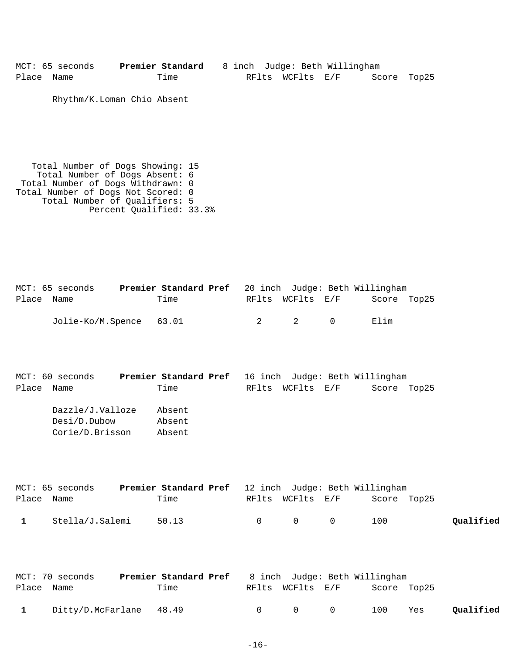MCT: 65 seconds **Premier Standard** 8 inch Judge: Beth Willingham Place Name Time Time RFlts WCFlts E/F Score Top25

Rhythm/K.Loman Chio Absent

 Total Number of Dogs Showing: 15 Total Number of Dogs Absent: 6 Total Number of Dogs Withdrawn: 0 Total Number of Dogs Not Scored: 0 Total Number of Qualifiers: 5 Percent Qualified: 33.3%

|            | MCT: 65 seconds         |      |  |                  | Premier Standard Pref 20 inch Judge: Beth Willingham |  |
|------------|-------------------------|------|--|------------------|------------------------------------------------------|--|
| Place Name |                         | Time |  | RFlts WCFlts E/F | Score Top25                                          |  |
|            | Jolie-Ko/M.Spence 63.01 |      |  | 2 2 0            | Elim                                                 |  |

|       | MCT: 60 seconds  | Premier Standard Pref 16 inch Judge: Beth Willingham |  |                  |             |  |
|-------|------------------|------------------------------------------------------|--|------------------|-------------|--|
| Place | Name             | Time                                                 |  | RFlts WCFlts E/F | Score Top25 |  |
|       | Dazzle/J.Valloze | Absent                                               |  |                  |             |  |
|       | Desi/D.Dubow     | Absent                                               |  |                  |             |  |
|       | Corie/D.Brisson  | Absent                                               |  |                  |             |  |

|              | MCT: 65 seconds | <b>Premier Standard Pref</b> 12 inch Judge: Beth Willingham |                                         |             |           |
|--------------|-----------------|-------------------------------------------------------------|-----------------------------------------|-------------|-----------|
| Place Name   |                 | Time                                                        | RFlts WCFlts E/F                        | Score Top25 |           |
| $\mathbf{1}$ | Stella/J.Salemi | 50.13                                                       | $\begin{matrix} 0 & 0 & 0 \end{matrix}$ | 100         | Qualified |

|            | MCT: 70 seconds         | <b>Premier Standard Pref</b> 8 inch Judge: Beth Willingham |        |                   |             |     |           |
|------------|-------------------------|------------------------------------------------------------|--------|-------------------|-------------|-----|-----------|
| Place Name |                         | Time                                                       |        | RFlts WCFlts E/F  | Score Top25 |     |           |
|            | Ditty/D.McFarlane 48.49 |                                                            | $\cap$ | $\Omega$ $\Omega$ | 100         | Yes | Qualified |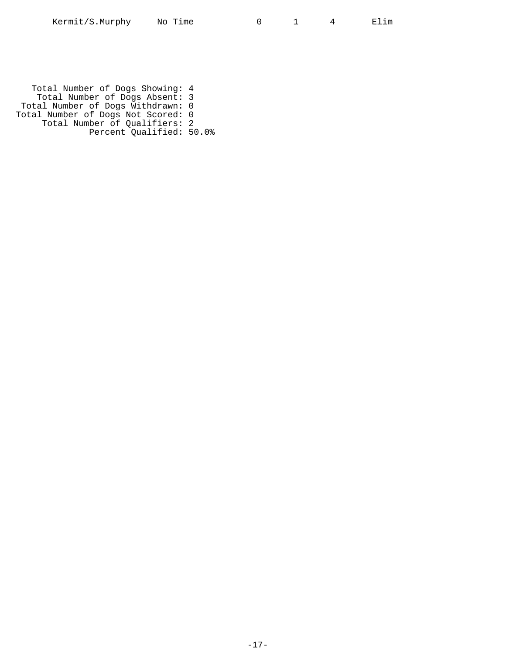Total Number of Dogs Showing: 4 Total Number of Dogs Absent: 3 Total Number of Dogs Withdrawn: 0 Total Number of Dogs Not Scored: 0 Total Number of Qualifiers: 2 Percent Qualified: 50.0%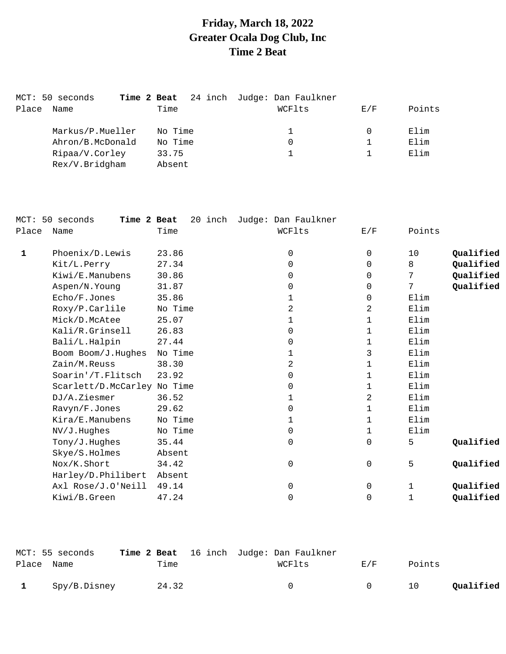# **Friday, March 18, 2022 Greater Ocala Dog Club, Inc Time 2 Beat**

|       | MCT: 50 seconds                  | Time 2 Beat     | 24 inch Judge: Dan Faulkner |     |        |
|-------|----------------------------------|-----------------|-----------------------------|-----|--------|
| Place | Name                             | Time            | WCFlts                      | E/F | Points |
|       | Markus/P.Mueller                 | No Time         |                             |     | Elim   |
|       | Ahron/B.McDonald                 | No Time         | 0                           |     | Elim   |
|       | Ripaa/V.Corley<br>Rex/V.Bridgham | 33.75<br>Absent |                             |     | Elim   |
|       |                                  |                 |                             |     |        |

|              | MCT: 50 seconds<br>Time 2 Beat | 20 inch | Judge: Dan Faulkner |                |        |           |
|--------------|--------------------------------|---------|---------------------|----------------|--------|-----------|
| Place        | Name                           | Time    | WCFlts              | E/F            | Points |           |
| $\mathbf{1}$ | Phoenix/D.Lewis                | 23.86   | $\mathbf 0$         | $\mathbf 0$    | 10     | Qualified |
|              | Kit/L.Perry                    | 27.34   | $\mathbf 0$         | $\Omega$       | 8      | Qualified |
|              | Kiwi/E.Manubens                | 30.86   | $\mathbf 0$         | $\Omega$       | 7      | Qualified |
|              | Aspen/N.Young                  | 31.87   | 0                   | $\mathbf 0$    | 7      | Qualified |
|              | Echo/F.Jones                   | 35.86   | 1                   | 0              | Elim   |           |
|              | Roxy/P.Carlile                 | No Time | $\overline{a}$      | $\overline{a}$ | Elim   |           |
|              | Mick/D.McAtee                  | 25.07   | 1                   | 1              | Elim   |           |
|              | Kali/R.Grinsell                | 26.83   | 0                   | 1              | Elim   |           |
|              | Bali/L.Halpin                  | 27.44   | 0                   | 1              | Elim   |           |
|              | Boom Boom/J.Hughes             | No Time | $\mathbf 1$         | 3              | Elim   |           |
|              | Zain/M.Reuss                   | 38.30   | $\overline{a}$      | 1              | Elim   |           |
|              | Soarin'/T.Flitsch              | 23.92   | 0                   | 1              | Elim   |           |
|              | Scarlett/D.McCarley No Time    |         | 0                   | 1              | Elim   |           |
|              | DJ/A.Ziesmer                   | 36.52   | 1                   | 2              | Elim   |           |
|              | Ravyn/F.Jones                  | 29.62   | $\mathbf 0$         | $\mathbf{1}$   | Elim   |           |
|              | Kira/E.Manubens                | No Time | 1                   | $\mathbf{1}$   | Elim   |           |
|              | NV/J.Hughes                    | No Time | 0                   | 1              | Elim   |           |
|              | Tony/J.Hughes                  | 35.44   | 0                   | $\mathbf 0$    | 5      | Qualified |
|              | Skye/S.Holmes                  | Absent  |                     |                |        |           |
|              | Nox/K.Short                    | 34.42   | 0                   | 0              | 5      | Qualified |
|              | Harley/D.Philibert             | Absent  |                     |                |        |           |
|              | Axl Rose/J.O'Neill             | 49.14   | 0                   | 0              | 1      | Qualified |
|              | Kiwi/B.Green                   | 47.24   | 0                   | $\mathbf 0$    | 1      | Qualified |
|              |                                |         |                     |                |        |           |

| Place Name   | MCT: 55 seconds | Time  | <b>Time 2 Beat</b> 16 inch Judge: Dan Faulkner<br>WCFlts | F. / F | Points |           |
|--------------|-----------------|-------|----------------------------------------------------------|--------|--------|-----------|
| $\mathbf{1}$ | Spy/B.Disney    | 24.32 | $\cap$                                                   | $\cap$ | 10     | Oualified |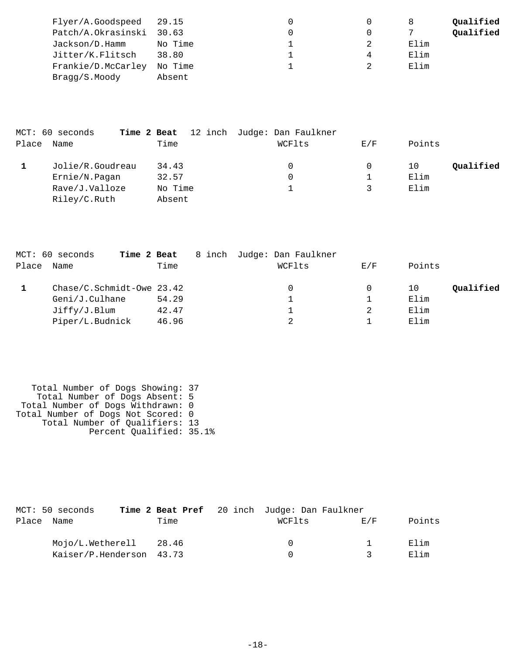| Qualified |
|-----------|
| Qualified |
| Elim      |
| Elim      |
| Elim      |
|           |
|           |

|       | MCT: 60 seconds  |         | Time 2 Beat 12 inch Judge: Dan Faulkner |     |        |           |
|-------|------------------|---------|-----------------------------------------|-----|--------|-----------|
| Place | Name             | Time    | WCFlts                                  | E/F | Points |           |
|       | Jolie/R.Goudreau | 34.43   | 0                                       |     | 10     | Qualified |
|       | Ernie/N.Pagan    | 32.57   | $\Omega$                                |     | Elim   |           |
|       | Rave/J.Valloze   | No Time |                                         |     | Elim   |           |
|       | Riley/C.Ruth     | Absent  |                                         |     |        |           |

|       | MCT: 60 seconds<br>Time 2 Beat |       | 8 inch Judge: Dan Faulkner |     |        |           |
|-------|--------------------------------|-------|----------------------------|-----|--------|-----------|
| Place | Name                           | Time  | WCFlts                     | E/F | Points |           |
|       | Chase/C.Schmidt-Owe 23.42      |       |                            | 0   | 10     | Qualified |
|       | Geni/J.Culhane                 | 54.29 |                            |     | Elim   |           |
|       | Jiffry/J.Blum                  | 42.47 |                            |     | Elim   |           |
|       | Piper/L.Budnick                | 46.96 |                            |     | Elim   |           |

 Total Number of Dogs Showing: 37 Total Number of Dogs Absent: 5 Total Number of Dogs Withdrawn: 0 Total Number of Dogs Not Scored: 0 Total Number of Qualifiers: 13 Percent Qualified: 35.1%

|       | MCT: 50 seconds          |      | Time 2 Beat Pref 20 inch Judge: Dan Faulkner |        |        |
|-------|--------------------------|------|----------------------------------------------|--------|--------|
| Place | Name                     | Time | WCFlts                                       | F. / F | Points |
|       | Mojo/L.Wetherell 28.46   |      | - 0                                          |        | Elim   |
|       | Kaiser/P.Henderson 43.73 |      | $\cap$                                       | ્ર     | Elim   |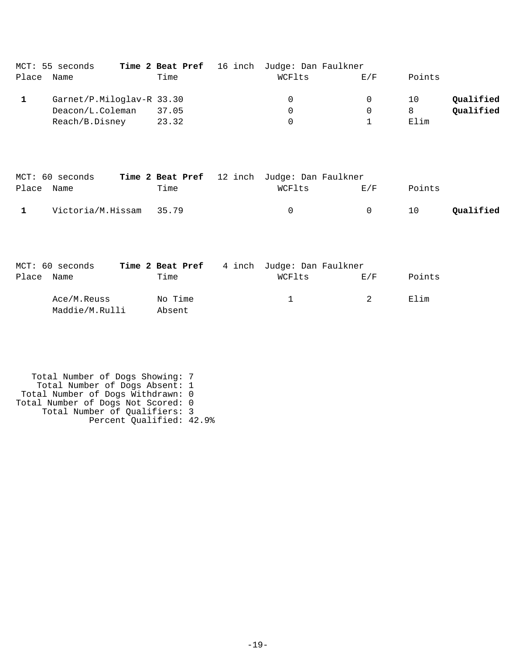|       | MCT: 55 seconds           |       | Time 2 Beat Pref 16 inch Judge: Dan Faulkner |          |        |           |
|-------|---------------------------|-------|----------------------------------------------|----------|--------|-----------|
| Place | Name                      | Time  | WCFlts                                       | E/F      | Points |           |
|       | Garnet/P.Miloglav-R 33.30 |       | $\Omega$                                     | $\Omega$ | 10     | Qualified |
|       | Deacon/L.Coleman          | 37.05 | 0                                            | 0        | 8      | Qualified |
|       | Reach/B.Disney            | 23.32 | 0                                            |          | Elim   |           |

|            | MCT: 60 seconds         |      | <b>Time 2 Beat Pref</b> 12 inch Judge: Dan Faulkner |        |        |           |
|------------|-------------------------|------|-----------------------------------------------------|--------|--------|-----------|
| Place Name |                         | Time | WCFlts                                              | F./F   | Points |           |
|            | Victoria/M.Hissam 35.79 |      | $\Omega$                                            | $\cap$ | 10     | Qualified |

|            | MCT: 60 seconds |         | Time 2 Beat Pref 4 inch Judge: Dan Faulkner                                                                    |                |        |
|------------|-----------------|---------|----------------------------------------------------------------------------------------------------------------|----------------|--------|
| Place Name |                 | Time    | WCFlts                                                                                                         | E/F            | Points |
|            | Ace/M.Reuss     | No Time | in the state of the state of the state of the state of the state of the state of the state of the state of the | $\overline{2}$ | Elim   |
|            | Maddie/M.Rulli  | Absent  |                                                                                                                |                |        |

```
 Total Number of Dogs Showing: 7
 Total Number of Dogs Absent: 1
 Total Number of Dogs Withdrawn: 0
Total Number of Dogs Not Scored: 0
 Total Number of Qualifiers: 3
 Percent Qualified: 42.9%
```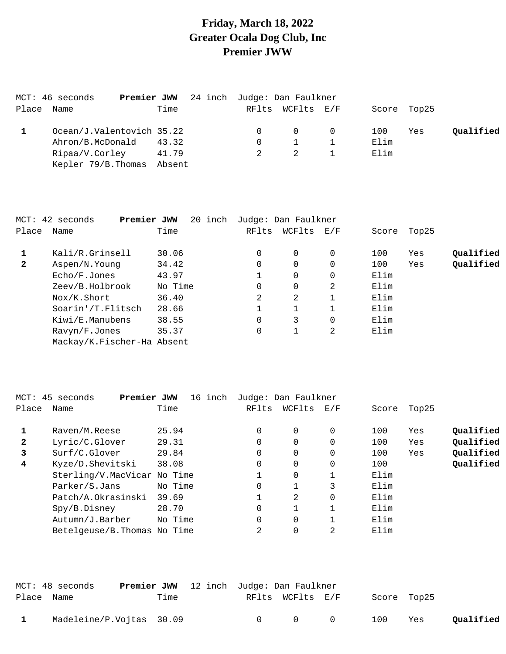## **Friday, March 18, 2022 Greater Ocala Dog Club, Inc Premier JWW**

|            | MCT: 46 seconds<br>Premier JWW |        | 24 inch Judge: Dan Faulkner |                  |                |      |             |           |
|------------|--------------------------------|--------|-----------------------------|------------------|----------------|------|-------------|-----------|
| Place Name |                                | Time   |                             | RFlts WCFlts E/F |                |      | Score Top25 |           |
|            | Ocean/J.Valentovich 35.22      |        |                             | $\overline{0}$   | $\overline{0}$ | 100  | Yes         | Qualified |
|            | Ahron/B.McDonald               | 43.32  | $\Omega$                    |                  |                | Elim |             |           |
|            | Ripaa/V.Corley                 | 41.79  |                             |                  |                | Elim |             |           |
|            | Kepler 79/B. Thomas            | Absent |                             |                  |                |      |             |           |

|              | MCT: 42 seconds<br>Premier JWW | 20 inch |          | Judge: Dan Faulkner |          |       |       |           |
|--------------|--------------------------------|---------|----------|---------------------|----------|-------|-------|-----------|
| Place        | Name                           | Time    | RFlts    | WCFlts              | E/F      | Score | Top25 |           |
|              | Kali/R.Grinsell                | 30.06   | $\Omega$ | 0                   | $\Omega$ | 100   | Yes   | Qualified |
| $\mathbf{2}$ | Aspen/N.Young                  | 34.42   | 0        | 0                   |          | 100   | Yes   | Qualified |
|              | Echo/F.Jones                   | 43.97   |          | 0                   |          | Elim  |       |           |
|              | Zeev/B.Holbrook                | No Time | $\Omega$ | 0                   | 2        | Elim  |       |           |
|              | Nox/K.Short                    | 36.40   | 2        | 2                   |          | Elim  |       |           |
|              | Soarin'/T.Flitsch              | 28.66   |          |                     |          | Elim  |       |           |
|              | Kiwi/E.Manubens                | 38.55   | 0        | 3                   |          | Elim  |       |           |
|              | Ravyn/F.Jones                  | 35.37   | 0        |                     | 2        | Elim  |       |           |
|              | Mackay/K.Fischer-Ha Absent     |         |          |                     |          |       |       |           |

|              | MCT: 45 seconds<br>Premier JWW | 16 inch |       | Judge: Dan Faulkner |          |       |       |           |
|--------------|--------------------------------|---------|-------|---------------------|----------|-------|-------|-----------|
| Place        | Name                           | Time    | RFlts | WCFlts              | E/F      | Score | Top25 |           |
|              | Raven/M.Reese                  | 25.94   | 0     | $\mathbf 0$         | 0        | 100   | Yes   | Qualified |
| $\mathbf{2}$ | Lyric/C.Glover                 | 29.31   |       | 0                   | 0        | 100   | Yes   | Qualified |
| 3            | Surf/C.Glover                  | 29.84   |       | 0                   | 0        | 100   | Yes   | Qualified |
| 4            | Kyze/D.Shevitski               | 38.08   |       | 0                   | 0        | 100   |       | Qualified |
|              | Sterling/V.MacVicar No Time    |         |       | 0                   |          | Elim  |       |           |
|              | Parker/S.Jans                  | No Time | 0     |                     | 3        | Elim  |       |           |
|              | Patch/A.Okrasinski             | 39.69   |       | 2                   | $\Omega$ | Elim  |       |           |
|              | Spy/B.Disney                   | 28.70   | 0     |                     |          | Elim  |       |           |
|              | Autumn/J.Barber                | No Time |       | 0                   |          | Elim  |       |           |
|              | Betelgeuse/B. Thomas No Time   |         | 2     | 0                   | 2        | Elim  |       |           |

|            | MCT: 48 seconds          | <b>Premier JWW</b> 12 inch Judge: Dan Faulkner |        |                                 |             |     |           |
|------------|--------------------------|------------------------------------------------|--------|---------------------------------|-------------|-----|-----------|
| Place Name |                          | Time                                           |        | RFlts WCFlts E/F                | Score Top25 |     |           |
|            | Madeleine/P.Vojtas 30.09 |                                                | $\cap$ | $\begin{matrix}0&0\end{matrix}$ | 100         | Yes | Qualified |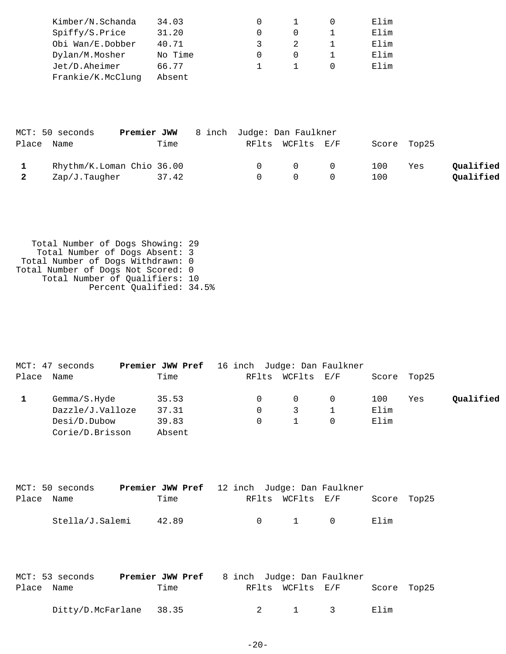| Kimber/N.Schanda  | 34.03   |  | Elim |
|-------------------|---------|--|------|
| Spiffy/S.Price    | 31.20   |  | Elim |
| Obi Wan/E.Dobber  | 40.71   |  | Elim |
| Dylan/M.Mosher    | No Time |  | Elim |
| Jet/D.Aheimer     | 66.77   |  | Elim |
| Frankie/K.McClung | Absent  |  |      |
|                   |         |  |      |

|            | MCT: 50 seconds           | <b>Premier JWW</b> 8 inch Judge: Dan Faulkner |          |                                         |             |     |           |
|------------|---------------------------|-----------------------------------------------|----------|-----------------------------------------|-------------|-----|-----------|
| Place Name |                           | Time                                          |          | RFlts WCFlts E/F                        | Score Top25 |     |           |
|            | Rhythm/K.Loman Chio 36.00 |                                               |          | $\begin{matrix} 0 & 0 & 0 \end{matrix}$ | 100         | Yes | Qualified |
|            | Zap/J.Taugher             | 37.42                                         | $\Omega$ |                                         | 100         |     | Qualified |

 Total Number of Dogs Showing: 29 Total Number of Dogs Absent: 3 Total Number of Dogs Withdrawn: 0 Total Number of Dogs Not Scored: 0 Total Number of Qualifiers: 10 Percent Qualified: 34.5%

|       | MCT: 47 seconds  | <b>Premier JWW Pref</b> 16 inch Judge: Dan Faulkner |  |                  |      |             |           |
|-------|------------------|-----------------------------------------------------|--|------------------|------|-------------|-----------|
| Place | Name             | Time                                                |  | RFlts WCFlts E/F |      | Score Top25 |           |
|       | Gemma/S.Hyde     | 35.53                                               |  | $\Omega$         | 100  | Yes         | Qualified |
|       | Dazzle/J.Valloze | 37.31                                               |  | 3                | Elim |             |           |
|       | Desi/D.Dubow     | 39.83                                               |  | $\mathbf{1}$     | Elim |             |           |
|       | Corie/D.Brisson  | Absent                                              |  |                  |      |             |           |

|            | MCT: 50 seconds | <b>Premier JWW Pref</b> 12 inch Judge: Dan Faulkner |  |                       |  |             |  |
|------------|-----------------|-----------------------------------------------------|--|-----------------------|--|-------------|--|
| Place Name |                 | Time                                                |  | RFlts WCFlts E/F      |  | Score Top25 |  |
|            |                 |                                                     |  |                       |  |             |  |
|            | Stella/J.Salemi | 42.89                                               |  | $0 \qquad 1 \qquad 0$ |  | Elim        |  |

|            | MCT: 53 seconds         | <b>Premier JWW Pref</b> 8 inch Judge: Dan Faulkner |  |                  |             |  |
|------------|-------------------------|----------------------------------------------------|--|------------------|-------------|--|
| Place Name |                         | Time                                               |  | RFlts WCFlts E/F | Score Top25 |  |
|            | Ditty/D.McFarlane 38.35 |                                                    |  | 1 3              | Elim        |  |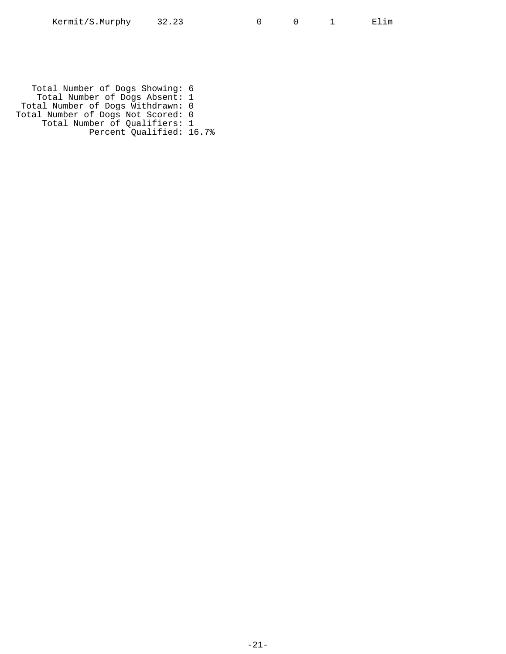Total Number of Dogs Showing: 6 Total Number of Dogs Absent: 1 Total Number of Dogs Withdrawn: 0 Total Number of Dogs Not Scored: 0 Total Number of Qualifiers: 1 Percent Qualified: 16.7%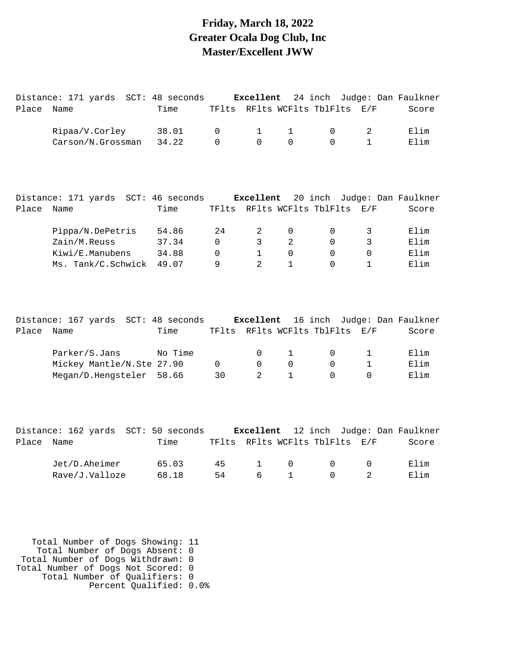#### **Friday, March 18, 2022 Greater Ocala Dog Club, Inc Master/Excellent JWW**

| Place | Name                      | Time                      | TFlts       |                |              | RFlts WCFlts TblFlts       | E/F          | Score               |
|-------|---------------------------|---------------------------|-------------|----------------|--------------|----------------------------|--------------|---------------------|
|       | Ripaa/V.Corley            | 38.01                     | $\mathbf 0$ | 1              | 1            | 0                          | 2            | Elim                |
|       | Carson/N.Grossman         | 34.22                     | $\Omega$    | $\Omega$       | $\Omega$     | $\Omega$                   | $\mathbf{1}$ | Elim                |
|       |                           |                           |             |                |              |                            |              |                     |
|       | Distance: 171 yards       | SCT: 46 seconds           |             | Excellent      |              | 20 inch                    |              | Judge: Dan Faulkner |
| Place | Name                      | Time                      | TFlts       |                |              | RFlts WCFlts TblFlts       | E/F          | Score               |
|       | Pippa/N.DePetris          | 54.86                     | 24          | 2              | $\mathbf 0$  | 0                          | 3            | Elim                |
|       | Zain/M.Reuss              | 37.34                     | $\Omega$    | 3              | 2            | $\Omega$                   | 3            | Elim                |
|       | Kiwi/E.Manubens           | 34.88                     | $\Omega$    | $\mathbf{1}$   | $\Omega$     | $\Omega$                   | $\Omega$     | Elim                |
|       | Ms. Tank/C.Schwick        | 49.07                     | 9           | $\overline{2}$ | $\mathbf{1}$ | $\Omega$                   | $\mathbf{1}$ | Elim                |
|       |                           |                           |             |                |              |                            |              |                     |
|       | Distance: 167 yards       | SCT: 48 seconds Excellent |             |                |              | 16 inch                    |              | Judge: Dan Faulkner |
| Place | Name                      | Time                      |             |                |              | TFlts RFlts WCFlts TblFlts | E/F          | Score               |
|       | Parker/S.Jans             | No Time                   |             | 0              | $\mathbf{1}$ | 0                          | 1            | Elim                |
|       |                           |                           | $\Omega$    | $\Omega$       | $\Omega$     | $\mathbf 0$                | $\mathbf{1}$ | Elim                |
|       | Mickey Mantle/N.Ste 27.90 |                           |             |                |              |                            |              |                     |
|       | Megan/D.Hengsteler        | 58.66                     | 30          | 2              | 1            | $\mathbf 0$                | 0            | Elim                |

Distance: 171 yards SCT: 48 seconds **Excellent** 24 inch Judge: Dan Faulkner

|            | Distance: 162 yards SCT: 50 seconds |       |    |                                     |        |                                | <b>Excellent</b> 12 inch Judge: Dan Faulkner |
|------------|-------------------------------------|-------|----|-------------------------------------|--------|--------------------------------|----------------------------------------------|
| Place Name |                                     | Time  |    |                                     |        | TFlts RFlts WCFlts TblFlts E/F | Score                                        |
|            | Jet/D.Aheimer                       | 65.03 | 45 | $\begin{matrix} 1 & 0 \end{matrix}$ | $\cap$ | $\cap$                         | Elim                                         |
|            | Rave/J.Valloze                      | 68.18 | 54 | 6 1                                 |        |                                | Elim                                         |

 Total Number of Dogs Showing: 11 Total Number of Dogs Absent: 0 Total Number of Dogs Withdrawn: 0 Total Number of Dogs Not Scored: 0 Total Number of Qualifiers: 0 Percent Qualified: 0.0%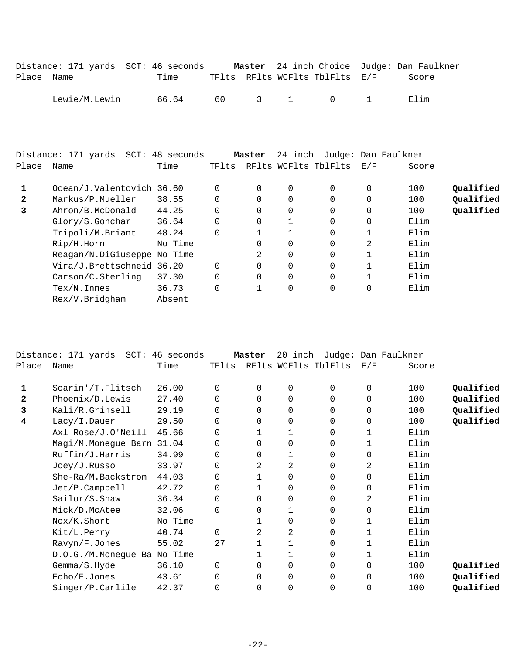|            | Distance: 171 yards SCT: 46 seconds |       |  |                                | <b>Master</b> 24 inch Choice Judge: Dan Faulkner |
|------------|-------------------------------------|-------|--|--------------------------------|--------------------------------------------------|
| Place Name |                                     | Time  |  | TFlts RFlts WCFlts TblFlts E/F | Score                                            |
|            | Lewie/M.Lewin                       | 66.64 |  | 60 3 1 0 1                     | Elim                                             |

|       | Distance: 171 yards SCT: 48 seconds |         |          | Master   | 24 inch      |                      |     | Judge: Dan Faulkner |           |
|-------|-------------------------------------|---------|----------|----------|--------------|----------------------|-----|---------------------|-----------|
| Place | Name                                | Time    | TFlts    |          |              | RFlts WCFlts TblFlts | E/F | Score               |           |
|       | Ocean/J.Valentovich 36.60           |         | $\Omega$ | 0        | $\Omega$     | $\Omega$             | 0   | 100                 | Qualified |
| 2     | Markus/P.Mueller                    | 38.55   | $\Omega$ | $\Omega$ | $\Omega$     | $\Omega$             |     | 100                 | Qualified |
| 3     | Ahron/B.McDonald                    | 44.25   | $\Omega$ | $\Omega$ | $\Omega$     | $\Omega$             | 0   | 100                 | Qualified |
|       | Glory/S.Gonchar                     | 36.64   | 0        | $\Omega$ | $\mathbf{1}$ | $\Omega$             |     | Elim                |           |
|       | Tripoli/M.Briant                    | 48.24   | $\Omega$ |          |              | 0                    |     | Elim                |           |
|       | Rip/H.Horn                          | No Time |          |          | $\Omega$     | $\Omega$             | 2   | Elim                |           |
|       | Reagan/N.DiGiuseppe No Time         |         |          | 2        | $\Omega$     | $\Omega$             |     | Elim                |           |
|       | Vira/J.Brettschneid 36.20           |         | $\Omega$ | $\Omega$ | $\Omega$     | $\Omega$             |     | Elim                |           |
|       | Carson/C. Sterling                  | 37.30   | 0        | $\Omega$ | 0            | $\Omega$             |     | Elim                |           |
|       | $Text/N$ . Innes                    | 36.73   | $\Omega$ |          | $\mathbf 0$  | $\Omega$             | 0   | Elim                |           |
|       | Rex/V.Bridgham                      | Absent  |          |          |              |                      |     |                     |           |
|       |                                     |         |          |          |              |                      |     |                     |           |

|              | Distance: 171 yards SCT: 46 seconds |         |          | Master   | 20 inch        |                      |              | Judge: Dan Faulkner |           |
|--------------|-------------------------------------|---------|----------|----------|----------------|----------------------|--------------|---------------------|-----------|
| Place        | Name                                | Time    | TFlts    |          |                | RFlts WCFlts TblFlts | E/F          | Score               |           |
| 1            | Soarin'/T.Flitsch                   | 26.00   | $\Omega$ | 0        | 0              | 0                    | 0            | 100                 | Qualified |
| $\mathbf{z}$ | $Phoenix/D.$ Lewis                  | 27.40   | $\Omega$ | 0        | 0              | 0                    | $\mathbf 0$  | 100                 | Qualified |
| 3            | Kali/R.Grinsell                     | 29.19   | $\Omega$ | $\Omega$ | $\mathbf 0$    | 0                    | $\mathbf 0$  | 100                 | Qualified |
| 4            | Lacy/I.Dauer                        | 29.50   | 0        | 0        | 0              | 0                    | 0            | 100                 | Qualified |
|              | Axl Rose/J.O'Neill                  | 45.66   | $\Omega$ | 1        | 1              | 0                    | 1            | Elim                |           |
|              | Magi/M.Monegue Barn                 | 31.04   | 0        | $\Omega$ | 0              | 0                    | 1            | Elim                |           |
|              | Ruffin/J.Harris                     | 34.99   | $\Omega$ | 0        | 1              | 0                    | 0            | Elim                |           |
|              | Joey/J.Russo                        | 33.97   | $\Omega$ | 2        | $\overline{2}$ | 0                    | 2            | Elim                |           |
|              | She-Ra/M.Backstrom                  | 44.03   | 0        |          | 0              | 0                    | $\mathbf 0$  | Elim                |           |
|              | Jet/P.Campbell                      | 42.72   | $\Omega$ |          | 0              | 0                    | $\mathbf 0$  | Elim                |           |
|              | Sailor/S.Shaw                       | 36.34   | $\Omega$ | $\Omega$ | 0              | 0                    | 2            | Elim                |           |
|              | Mick/D.McAtee                       | 32.06   | $\Omega$ | 0        | 1              | 0                    | $\mathbf 0$  | Elim                |           |
|              | Nox/K.Short                         | No Time |          |          | 0              | 0                    |              | Elim                |           |
|              | Kit/L.Perry                         | 40.74   | $\Omega$ | 2        | 2              | 0                    |              | Elim                |           |
|              | Ravyn/F.Jones                       | 55.02   | 27       |          | $\mathbf{1}$   | 0                    | $\mathbf{1}$ | Elim                |           |
|              | D.O.G./M.Monegue Ba No Time         |         |          |          | 1              | 0                    |              | Elim                |           |
|              | Gemma/S.Hyde                        | 36.10   | $\Omega$ | $\Omega$ | $\Omega$       | 0                    | $\Omega$     | 100                 | Qualified |
|              | Echo/F.Jones                        | 43.61   | 0        | 0        | 0              | 0                    | 0            | 100                 | Qualified |
|              | Singer/P.Carlile                    | 42.37   |          | 0        | 0              | 0                    | $\mathbf 0$  | 100                 | Qualified |
|              |                                     |         |          |          |                |                      |              |                     |           |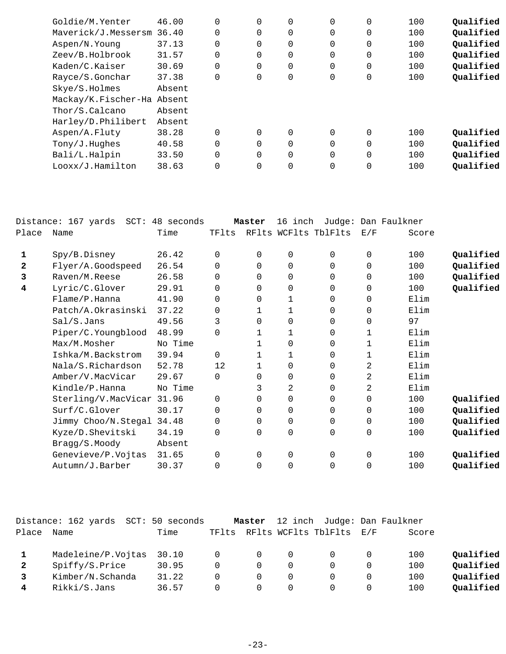| Goldie/M.Yenter            | 46.00  | $\Omega$    | $\Omega$    | 0 | $\Omega$    | 0 | 100 | Qualified |
|----------------------------|--------|-------------|-------------|---|-------------|---|-----|-----------|
| Maverick/J.Messersm 36.40  |        | 0           | $\mathbf 0$ | 0 | $\mathbf 0$ | 0 | 100 | Qualified |
| Aspen/N.Young              | 37.13  | $\mathbf 0$ | 0           | 0 | $\mathbf 0$ | 0 | 100 | Qualified |
| Zeev/B.Holbrook            | 31.57  | $\Omega$    | $\Omega$    | 0 | $\mathbf 0$ | 0 | 100 | Qualified |
| Kaden/C.Kaiser             | 30.69  | $\Omega$    | $\Omega$    | 0 | $\mathbf 0$ | 0 | 100 | Qualified |
| Rayce/S.Gonchar            | 37.38  | $\mathbf 0$ | 0           | 0 | $\mathbf 0$ | 0 | 100 | Qualified |
| Skye/S.Holmes              | Absent |             |             |   |             |   |     |           |
| Mackay/K.Fischer-Ha Absent |        |             |             |   |             |   |     |           |
| Thor/S.Calcano             | Absent |             |             |   |             |   |     |           |
| Harley/D.Philibert         | Absent |             |             |   |             |   |     |           |
| Aspen/A.Fluty              | 38.28  | $\Omega$    | $\Omega$    | 0 | $\Omega$    | 0 | 100 | Oualified |
| Tony/J.Huqhes              | 40.58  | $\mathbf 0$ | 0           | 0 | $\mathbf 0$ | 0 | 100 | Qualified |
| Bali/L.Halpin              | 33.50  | $\Omega$    | $\Omega$    | 0 | $\Omega$    | 0 | 100 | Qualified |
| Looxx/J.Hamilton           | 38.63  | $\Omega$    | 0           | 0 | 0           | 0 | 100 | Qualified |
|                            |        |             |             |   |             |   |     |           |

|       | Distance: 167 yards | SCT: 48 seconds |          | Master   | 16 inch        |                      |          | Judge: Dan Faulkner |           |
|-------|---------------------|-----------------|----------|----------|----------------|----------------------|----------|---------------------|-----------|
| Place | Name                | Time            | TFlts    |          |                | RFlts WCFlts TblFlts | E/F      | Score               |           |
| 1     | Spy/B.Disney        | 26.42           | 0        | 0        | $\mathbf 0$    | $\Omega$             | 0        | 100                 | Qualified |
| 2     | Flyer/A.Goodspeed   | 26.54           | $\Omega$ | 0        | $\Omega$       | $\Omega$             | $\Omega$ | 100                 | Qualified |
| 3     | Raven/M.Reese       | 26.58           | $\Omega$ | $\Omega$ | $\mathbf 0$    | $\Omega$             | $\Omega$ | 100                 | Qualified |
| 4     | Lyric/C.Glover      | 29.91           | $\Omega$ | 0        | 0              | 0                    | 0        | 100                 | Qualified |
|       | Flame/P.Hanna       | 41.90           | 0        | 0        | 1              | $\Omega$             | 0        | Elim                |           |
|       | Patch/A.Okrasinski  | 37.22           | $\Omega$ | 1        | 1              | $\Omega$             | $\Omega$ | Elim                |           |
|       | Sal/S.Jans          | 49.56           | 3        | 0        | $\mathbf 0$    | $\Omega$             | $\Omega$ | 97                  |           |
|       | Piper/C.Youngblood  | 48.99           | 0        | 1        | 1              | 0                    | 1        | Elim                |           |
|       | Max/M.Mosher        | No Time         |          |          | $\mathbf 0$    | $\Omega$             | 1        | Elim                |           |
|       | Ishka/M.Backstrom   | 39.94           | 0        | 1        | 1              | $\Omega$             | 1        | Elim                |           |
|       | Nala/S.Richardson   | 52.78           | 12       |          | 0              | 0                    | 2        | Elim                |           |
|       | Amber/V.MacVicar    | 29.67           | $\Omega$ | 0        | $\mathbf 0$    | 0                    | 2        | Elim                |           |
|       | Kindle/P.Hanna      | No Time         |          | 3        | 2              | $\Omega$             | 2        | Elim                |           |
|       | Sterling/V.MacVicar | 31.96           | 0        | 0        | $\Omega$       | $\Omega$             | $\Omega$ | 100                 | Qualified |
|       | Surf/C.Glover       | 30.17           | 0        | 0        | $\mathbf 0$    | $\Omega$             | $\Omega$ | 100                 | Qualified |
|       | Jimmy Choo/N.Stegal | 34.48           | 0        | 0        | 0              | $\Omega$             | 0        | 100                 | Qualified |
|       | Kyze/D.Shevitski    | 34.19           | $\Omega$ | 0        | $\overline{0}$ | $\Omega$             | $\Omega$ | 100                 | Qualified |
|       | Bragg/S.Moody       | Absent          |          |          |                |                      |          |                     |           |
|       | Genevieve/P.Vojtas  | 31.65           | 0        | $\Omega$ | $\mathbf 0$    | $\Omega$             | 0        | 100                 | Qualified |
|       | Autumn/J.Barber     | 30.37           | $\Omega$ | 0        | $\overline{0}$ | $\Omega$             | 0        | 100                 | Qualified |
|       |                     |                 |          |          |                |                      |          |                     |           |

|              | Distance: 162 yards<br>SCT: | 50 seconds |                | Master   | 12 inch |                          |   | Judge: Dan Faulkner |           |
|--------------|-----------------------------|------------|----------------|----------|---------|--------------------------|---|---------------------|-----------|
| Place        | Name                        | Time       | TFlts          |          |         | RFlts WCFlts TblFlts E/F |   | Score               |           |
|              |                             |            |                |          |         |                          |   |                     |           |
|              | Madeleine/P.Vojtas 30.10    |            | $\overline{0}$ | $\Omega$ |         |                          |   | 100                 | Qualified |
| $\mathbf{2}$ | Spiffy/S.Price              | 30.95      | $\Omega$       | $\Omega$ |         |                          |   | 100                 | Qualified |
|              | Kimber/N.Schanda            | 31.22      |                | $\Omega$ |         |                          |   | 100                 | Qualified |
|              | Rikki/S.Jans                | 36.57      | $\cap$         | $\Omega$ |         |                          | 0 | 100                 | Qualified |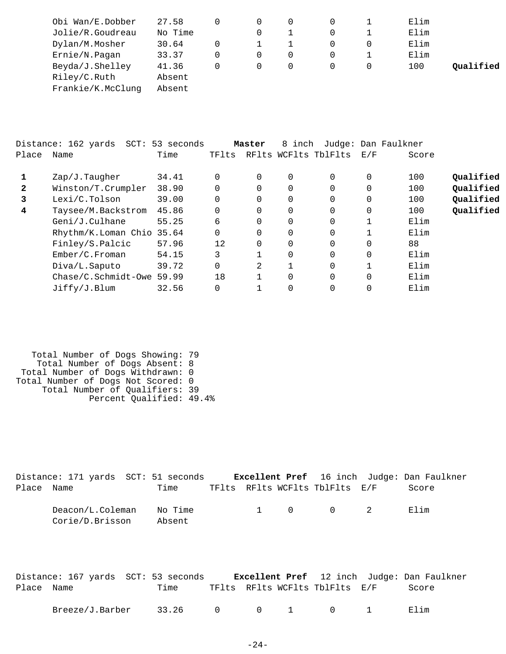| Obi Wan/E.Dobber  | 27.58   |          |   |  | Elim |           |
|-------------------|---------|----------|---|--|------|-----------|
| Jolie/R.Goudreau  | No Time |          |   |  | Elim |           |
| Dylan/M.Mosher    | 30.64   |          |   |  | Elim |           |
| Ernie/N.Pagan     | 33.37   | $\Omega$ | 0 |  | Elim |           |
| Beyda/J.Shelley   | 41.36   |          |   |  | 100  | Oualified |
| Riley/C.Ruth      | Absent  |          |   |  |      |           |
| Frankie/K.McClung | Absent  |          |   |  |      |           |

|              | Distance: 162 yards<br>SCT: | 53 seconds |       | Master   | 8 inch |                      |          | Judge: Dan Faulkner |           |
|--------------|-----------------------------|------------|-------|----------|--------|----------------------|----------|---------------------|-----------|
| Place        | Name                        | Time       | TFlts |          |        | RFlts WCFlts TblFlts | E/F      | Score               |           |
|              | Zap/J.Tauqher               | 34.41      |       | $\Omega$ | 0      | $\Omega$             | 0        | 100                 | Qualified |
| $\mathbf{2}$ | Winston/T.Crumpler          | 38.90      |       |          | 0      | 0                    | 0        | 100                 | Oualified |
| 3            | Lexi/C.Tolson               | 39.00      |       | $\Omega$ | 0      | $\Omega$             | $\Omega$ | 100                 | Qualified |
| 4            | Taysee/M.Backstrom          | 45.86      |       | $\Omega$ | 0      | $\Omega$             | $\Omega$ | 100                 | Qualified |
|              | Geni/J.Culhane              | 55.25      | 6     | 0        | 0      | 0                    |          | Elim                |           |
|              | Rhythm/K.Loman Chio 35.64   |            |       | $\Omega$ | 0      | $\Omega$             |          | Elim                |           |
|              | Finley/S.Palcic             | 57.96      | 12    | $\Omega$ | 0      | $\Omega$             | $\Omega$ | 88                  |           |
|              | Ember/C.Froman              | 54.15      | 3     |          | 0      | $\Omega$             | $\Omega$ | Elim                |           |
|              | Diva/L.Saputo               | 39.72      |       | 2        |        | $\Omega$             |          | Elim                |           |
|              | $Chase/C.Schmidt-0we$       | 59.99      | 18    |          | 0      | $\Omega$             | $\Omega$ | Elim                |           |
|              | Jiffy/J.Blum                | 32.56      |       |          |        | $\Omega$             | $\Omega$ | Elim                |           |

 Total Number of Dogs Showing: 79 Total Number of Dogs Absent: 8 Total Number of Dogs Withdrawn: 0 Total Number of Dogs Not Scored: 0 Total Number of Qualifiers: 39 Percent Qualified: 49.4%

|            | Distance: 171 yards SCT: 51 seconds <b>Excellent Pref</b> 16 inch Judge: Dan Faulkner |                   |  |                                |       |  |
|------------|---------------------------------------------------------------------------------------|-------------------|--|--------------------------------|-------|--|
| Place Name |                                                                                       | Time              |  | TFlts RFlts WCFlts TblFlts E/F | Score |  |
|            | Deacon/L.Coleman<br>Corie/D.Brisson                                                   | No Time<br>Absent |  | 1 0 0 2                        | Elim  |  |

|            | Distance: 167 yards SCT: 53 seconds |                 |  |                                | <b>Excellent Pref</b> 12 inch Judge: Dan Faulkner |
|------------|-------------------------------------|-----------------|--|--------------------------------|---------------------------------------------------|
| Place Name |                                     | Time            |  | TFlts RFlts WCFlts TblFlts E/F | Score                                             |
|            | Breeze/J.Barber                     | 33.26 0 0 1 0 1 |  |                                | Elim                                              |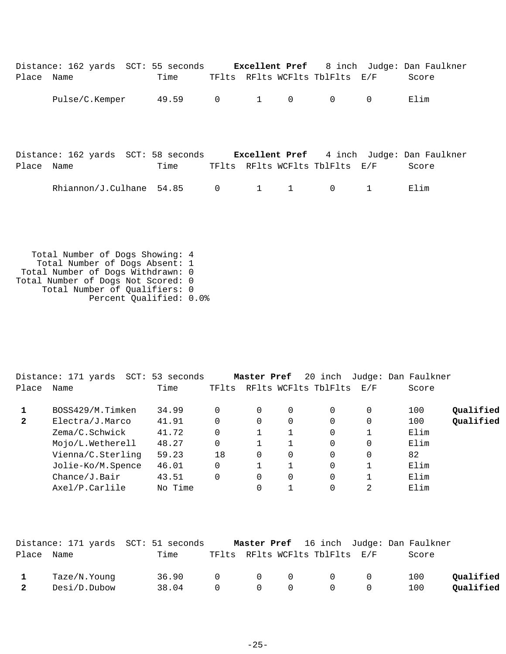|            | Distance: 162 yards SCT: 55 seconds Excellent Pref 8 inch Judge: Dan Faulkner |       |                |                                     |                                |                |       |
|------------|-------------------------------------------------------------------------------|-------|----------------|-------------------------------------|--------------------------------|----------------|-------|
| Place Name |                                                                               | Time  |                |                                     | TFlts RFlts WCFlts TblFlts E/F |                | Score |
|            | Pulse/C.Kemper                                                                | 49.59 |                | $0 \qquad \qquad 1 \qquad \qquad 0$ | $\mathbf 0$                    | $\overline{0}$ | Elim  |
| Place Name | Distance: 162 yards SCT: 58 seconds Excellent Pref 4 inch Judge: Dan Faulkner | Time  |                |                                     | TFlts RFlts WCFlts TblFlts E/F |                | Score |
|            | Rhiannon/J.Culhane 54.85                                                      |       | $\overline{0}$ | $1 \quad 1$                         | $\mathbf 0$                    |                | Elim  |

 Total Number of Dogs Showing: 4 Total Number of Dogs Absent: 1 Total Number of Dogs Withdrawn: 0 Total Number of Dogs Not Scored: 0 Total Number of Qualifiers: 0 Percent Qualified: 0.0%

|       | Distance: 171 yards<br>SCT: | 53 seconds |          | Master Pref |          | 20 inch              |     |    | Judge: Dan Faulkner |           |
|-------|-----------------------------|------------|----------|-------------|----------|----------------------|-----|----|---------------------|-----------|
| Place | Name                        | Time       | TFlts    |             |          | RFlts WCFlts TblFlts | E/F |    | Score               |           |
|       | BOSS429/M.Timken            | 34.99      | 0        | 0           | $\Omega$ | $\Omega$             | 0   |    | 100                 | Qualified |
| 2     | Electra/J.Marco             | 41.91      | $\Omega$ | 0           | $\Omega$ | $\Omega$             | 0   |    | 100                 | Qualified |
|       | Zema/C.Schwick              | 41.72      | $\Omega$ |             |          | $\Omega$             |     |    | Elim                |           |
|       | Mojo/L.Wetherell            | 48.27      | 0        |             |          | $\Omega$             | 0   |    | Elim                |           |
|       | Vienna/C.Sterling           | 59.23      | 18       | 0           | $\Omega$ | $\Omega$             | 0   | 82 |                     |           |
|       | Jolie-Ko/M.Spence           | 46.01      | 0        |             |          | $\Omega$             |     |    | Elim                |           |
|       | Change/J.Bair               | 43.51      | $\Omega$ | 0           | 0        | $\Omega$             |     |    | Elim                |           |
|       | Axel/P.Carlile              | No Time    |          | 0           |          |                      | 2   |    | Elim                |           |

|                |              | Distance: 171 yards  SCT: 51 seconds |                                                    |                                                    |                                 |                | <b>Master Pref</b> 16 inch Judge: Dan Faulkner |           |
|----------------|--------------|--------------------------------------|----------------------------------------------------|----------------------------------------------------|---------------------------------|----------------|------------------------------------------------|-----------|
| Place Name     |              | Time                                 |                                                    |                                                    | TFlts RFlts WCFlts TblFlts E/F  |                | Score                                          |           |
| $\mathbf{1}$   | Taze/N.Younq | 36.90                                | $\begin{array}{ccc} & & 0 & \quad & 0 \end{array}$ |                                                    | $\overline{0}$                  | $\overline{0}$ | 100                                            | Qualified |
| $\overline{2}$ | Desi/D.Dubow | 38.04                                | $\bigcap$                                          | $\begin{array}{ccc} & & 0 & \quad & 0 \end{array}$ | $\begin{matrix}0&0\end{matrix}$ |                | 100                                            | Qualified |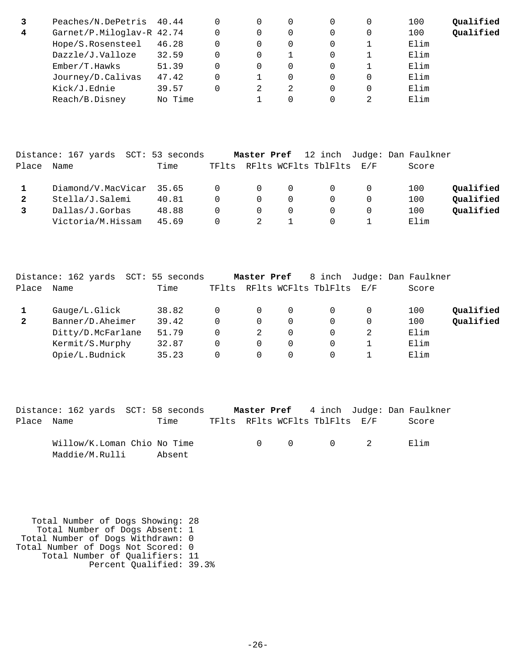|   | Peaches/N.DePetris 40.44  |         |   | 0        |  | 100  | Oualified |
|---|---------------------------|---------|---|----------|--|------|-----------|
| 4 | Garnet/P.Miloglav-R 42.74 |         |   | 0        |  | 100  | Qualified |
|   | Hope/S.Rosensteel         | 46.28   |   | $\Omega$ |  | Elim |           |
|   | Dazzle/J.Valloze          | 32.59   |   |          |  | Elim |           |
|   | Ember/T.Hawks             | 51.39   |   | $\Omega$ |  | Elim |           |
|   | Journey/D.Calivas         | 47.42   |   | $\Omega$ |  | Elim |           |
|   | Kick/J.Ednie              | 39.57   | 2 | 2        |  | Elim |           |
|   | Reach/B.Disney            | No Time |   | $\Omega$ |  | Elim |           |

|       | Distance: 167 yards SCT: 53 seconds |       |          | Master Pref    |          |                          |          | 12 inch Judge: Dan Faulkner |           |
|-------|-------------------------------------|-------|----------|----------------|----------|--------------------------|----------|-----------------------------|-----------|
| Place | Name                                | Time  | TFlts    |                |          | RFlts WCFlts TblFlts E/F |          | Score                       |           |
|       | Diamond/V.MacVicar 35.65            |       | $\Omega$ | $\overline{0}$ | $\Omega$ | $\Omega$                 | 0        | 100                         | Oualified |
|       | Stella/J.Salemi                     | 40.81 | $\Omega$ | $\Omega$       | 0        |                          |          | 100                         | Oualified |
|       | Dallas/J.Gorbas                     | 48.88 | $\Omega$ | $\overline{0}$ | $\Omega$ |                          | $\Omega$ | 100                         | Oualified |
|       | Victoria/M.Hissam                   | 45.69 | 0        |                |          |                          |          | Elim                        |           |

|              | Distance: 162 yards SCT: | 55 seconds |          | Master Pref |          | 8 inch               |          | Judge: Dan Faulkner |           |
|--------------|--------------------------|------------|----------|-------------|----------|----------------------|----------|---------------------|-----------|
| Place        | Name                     | Time       | TFlts    |             |          | RFlts WCFlts TblFlts | E/F      | Score               |           |
|              | Gauge/L.Glick            | 38.82      |          | $\Omega$    |          | $\Omega$             |          | 100                 | Oualified |
| $\mathbf{2}$ | Banner/D.Aheimer         | 39.42      | $\Omega$ | $\Omega$    | $\Omega$ | 0                    | $\Omega$ | 100                 | Qualified |
|              | Ditty/D.McFarlane        | 51.79      | $\Omega$ |             | 0        | 0                    |          | Elim                |           |
|              | Kermit/S.Murphy          | 32.87      | 0        | $\Omega$    | 0        | 0                    |          | Elim                |           |
|              | Opie/L.Budnick           | 35.23      |          |             |          |                      |          | Elim                |           |

|            | Distance: 162 yards SCT: 58 seconds |        |  |                                |  | Master Pref 4 inch Judge: Dan Faulkner |
|------------|-------------------------------------|--------|--|--------------------------------|--|----------------------------------------|
| Place Name |                                     | Time   |  | TFlts RFlts WCFlts TblFlts E/F |  | Score                                  |
|            | Willow/K.Loman Chio No Time         |        |  | $0 \qquad 0 \qquad 0 \qquad 2$ |  | Elim                                   |
|            | Maddie/M.Rulli                      | Absent |  |                                |  |                                        |

 Total Number of Dogs Showing: 28 Total Number of Dogs Absent: 1 Total Number of Dogs Withdrawn: 0 Total Number of Dogs Not Scored: 0 Total Number of Qualifiers: 11 Percent Qualified: 39.3%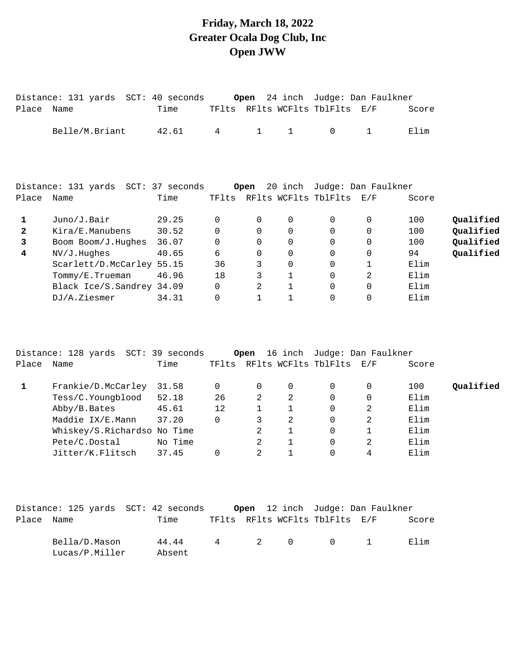### **Friday, March 18, 2022 Greater Ocala Dog Club, Inc Open JWW**

|              | Distance: 131 yards SCT: 40 seconds  |         |              | Open           |              |                                | 24 inch Judge: Dan Faulkner |       |           |
|--------------|--------------------------------------|---------|--------------|----------------|--------------|--------------------------------|-----------------------------|-------|-----------|
| Place Name   |                                      | Time    |              |                |              | TFlts RFlts WCFlts TblFlts E/F |                             | Score |           |
|              | Belle/M.Briant                       | 42.61   | 4            | $\mathbf{1}$   | $\mathbf{1}$ | $\Omega$                       | $\mathbf{1}$                | Elim  |           |
|              |                                      |         |              |                |              |                                |                             |       |           |
|              | Distance: 131 yards SCT: 37 seconds  |         |              | Open           |              |                                | 20 inch Judge: Dan Faulkner |       |           |
| Place Name   |                                      | Time    |              |                |              | TFlts RFlts WCFlts TblFlts E/F |                             | Score |           |
| 1            | Juno/J.Bair                          | 29.25   | 0            | $\Omega$       | 0            | $\Omega$                       | 0                           | 100   | Qualified |
| 2            | Kira/E.Manubens                      | 30.52   | 0            | 0              | 0            | 0                              | 0                           | 100   | Qualified |
| 3            | Boom Boom/J.Hughes                   | 36.07   | 0            | 0              | $\mathbf 0$  | 0                              | 0                           | 100   | Qualified |
| 4            | NV/J.Hughes                          | 40.65   | 6            | $\Omega$       | 0            | 0                              | 0                           | 94    | Qualified |
|              | Scarlett/D.McCarley 55.15            |         | 36           | 3              | $\mathbf 0$  | 0                              | 1                           | Elim  |           |
|              | Tommy/E.Trueman                      | 46.96   | 18           | 3              | $\mathbf 1$  | $\Omega$                       | 2                           | Elim  |           |
|              | Black Ice/S.Sandrey 34.09            |         | $\Omega$     | 2              | $\mathbf 1$  | $\Omega$                       | 0                           | Elim  |           |
|              | DJ/A.Ziesmer                         | 34.31   | 0            | $\mathbf{1}$   | $\mathbf{1}$ | 0                              | 0                           | Elim  |           |
|              |                                      |         |              |                |              |                                |                             |       |           |
|              | Distance: 128 yards  SCT: 39 seconds |         |              | Open           |              |                                | 16 inch Judge: Dan Faulkner |       |           |
| Place Name   |                                      | Time    |              |                |              | TFlts RFlts WCFlts TblFlts E/F |                             | Score |           |
| $\mathbf{1}$ | Frankie/D.McCarley                   | 31.58   | $\mathsf{O}$ | 0              | 0            | 0                              | 0                           | 100   | Qualified |
|              | Tess/C.Youngblood                    | 52.18   | 26           | 2              | 2            | 0                              | 0                           | Elim  |           |
|              | Abby/B.Bates                         | 45.61   | 12           | $\mathbf{1}$   | $\mathbf{1}$ | $\Omega$                       | 2                           | Elim  |           |
|              | Maddie IX/E.Mann                     | 37.20   | $\Omega$     | 3              | 2            | $\Omega$                       | 2                           | Elim  |           |
|              | Whiskey/S.Richardso No Time          |         |              | 2              | $\mathbf{1}$ | $\Omega$                       | $\mathbf 1$                 | Elim  |           |
|              | Pete/C.Dostal                        | No Time |              | 2              | 1            | $\Omega$                       | 2                           | Elim  |           |
|              | Jitter/K.Flitsch                     | 37.45   | 0            | $\overline{2}$ | $\mathbf 1$  | 0                              | 4                           | Elim  |           |
|              |                                      |         |              |                |              |                                |                             |       |           |

|            | Distance: 125 yards  SCT: 42 seconds |                 |  | <b>Open</b> 12 inch Judge: Dan Faulkner |       |
|------------|--------------------------------------|-----------------|--|-----------------------------------------|-------|
| Place Name |                                      | Time            |  | TFlts RFlts WCFlts TblFlts E/F          | Score |
|            | Bella/D.Mason<br>Lucas/P.Miller      | 44.44<br>Absent |  | 4 2 0 0 1                               | Filim |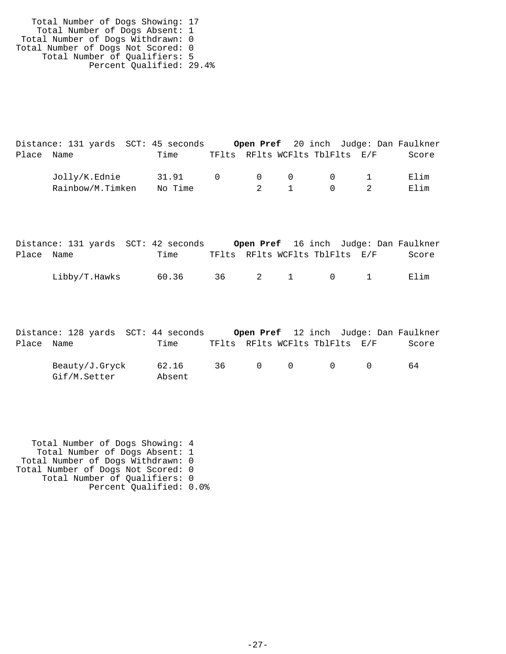| Total Number of Dogs Showing: 17   |  |
|------------------------------------|--|
| Total Number of Dogs Absent: 1     |  |
| Total Number of Dogs Withdrawn: 0  |  |
| Total Number of Dogs Not Scored: 0 |  |
| Total Number of Qualifiers: 5      |  |
| Percent Qualified: 29.4%           |  |

|            | Distance: 131 yards  SCT: 45 seconds |         |                                |                                         |                |  | Open Pref 20 inch Judge: Dan Faulkner |
|------------|--------------------------------------|---------|--------------------------------|-----------------------------------------|----------------|--|---------------------------------------|
| Place Name |                                      | Time    | TFlts RFlts WCFlts TblFlts E/F |                                         |                |  | Score                                 |
|            | Jolly/K.Ednie                        | 31.91   | $\cap$                         | $\begin{matrix} 0 & 0 & 0 \end{matrix}$ |                |  | Elim                                  |
|            | Rainbow/M.Timken                     | No Time |                                | 2 1                                     | $\overline{0}$ |  | Elim                                  |

|            | Distance: 131 yards SCT: 42 seconds |       |  |  |                                | Open Pref 16 inch Judge: Dan Faulkner |
|------------|-------------------------------------|-------|--|--|--------------------------------|---------------------------------------|
| Place Name |                                     | Time  |  |  | TFlts RFlts WCFlts TblFlts E/F | Score                                 |
|            | Libby/T.Hawks                       | 60.36 |  |  | 36 2 1 0 1                     | Elim                                  |

|            | Distance: 128 yards SCT: 44 seconds |                 |     |                   |           | Open Pref 12 inch Judge: Dan Faulkner |       |
|------------|-------------------------------------|-----------------|-----|-------------------|-----------|---------------------------------------|-------|
| Place Name |                                     | Time            |     |                   |           | TFlts RFlts WCFlts TblFlts E/F        | Score |
|            | Beauty/J.Gryck<br>Gif/M.Setter      | 62.16<br>Absent | 36. | $\Omega$ $\Omega$ | $\bigcap$ |                                       | 64    |

 Total Number of Dogs Showing: 4 Total Number of Dogs Absent: 1 Total Number of Dogs Withdrawn: 0 Total Number of Dogs Not Scored: 0 Total Number of Qualifiers: 0 Percent Qualified: 0.0%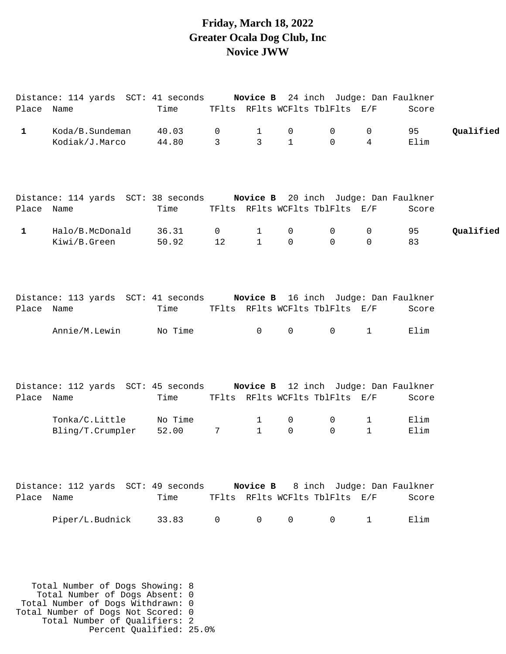### **Friday, March 18, 2022 Greater Ocala Dog Club, Inc Novice JWW**

| Place Name   | Distance: 114 yards SCT: 41 seconds Novice B 24 inch Judge: Dan Faulkner                               | Time             |                      |                             | TFlts RFlts WCFlts TblFlts E/F                 |                             |                     | Score                               |           |
|--------------|--------------------------------------------------------------------------------------------------------|------------------|----------------------|-----------------------------|------------------------------------------------|-----------------------------|---------------------|-------------------------------------|-----------|
| $\mathbf{1}$ | Koda/B.Sundeman<br>Kodiak/J.Marco                                                                      | 40.03<br>44.80   | 0<br>$\mathbf{3}$    | $\mathbf 1$<br>$\mathsf{3}$ | 0<br>$\mathbf{1}$                              | $\mathsf{O}$<br>$\mathbf 0$ | 0<br>$\overline{4}$ | 95<br>Elim                          | Qualified |
| Place Name   | Distance: 114 yards SCT: 38 seconds Novice B 20 inch Judge: Dan Faulkner                               | Time             |                      |                             | TFlts RFlts WCFlts TblFlts E/F                 |                             |                     | Score                               |           |
| $\mathbf{1}$ | Halo/B.McDonald<br>Kiwi/B.Green                                                                        | 36.31<br>50.92   | $\overline{0}$<br>12 | $\mathbf 1$<br>$\mathbf{1}$ | 0<br>$\Omega$                                  | 0<br>$\Omega$               | 0<br>$\mathbf 0$    | 95<br>83                            | Qualified |
| Place Name   | Distance: 113 yards SCT: 41 seconds Novice B 16 inch Judge: Dan Faulkner<br>Annie/M.Lewin              | Time<br>No Time  |                      | $\overline{0}$              | TFlts RFlts WCFlts TblFlts E/F<br>$\mathsf{O}$ | $\mathsf{O}$                | $\mathbf{1}$        | Score<br>Elim                       |           |
| Place Name   | Distance: 112 yards SCT: 45 seconds Novice B 12 inch Judge: Dan Faulkner                               | Time             |                      |                             | TFlts RFlts WCFlts TblFlts E/F                 |                             |                     | Score                               |           |
|              | Tonka/C.Little<br>Bling/T.Crumpler                                                                     | No Time<br>52.00 | $7\overline{ }$      | 1<br>$\mathbf{1}$           | 0<br>0                                         | 0<br>$\mathbf 0$            | 1<br>$\mathbf{1}$   | Elim<br>Elim                        |           |
| Place Name   | Distance: 112 yards SCT: 49 seconds                                                                    | Time             |                      | Novice B                    | TFlts RFlts WCFlts TblFlts E/F                 |                             |                     | 8 inch Judge: Dan Faulkner<br>Score |           |
|              | Piper/L.Budnick                                                                                        | 33.83            | $\mathbf 0$          | $\Omega$                    | 0                                              | $\mathbf 0$                 | $\mathbf{1}$        | Elim                                |           |
|              | Total Number of Dogs Showing: 8<br>Total Number of Dogs Absent: 0<br>Total Number of Dogs Withdrawn: 0 |                  |                      |                             |                                                |                             |                     |                                     |           |

 Total Number of Dogs Withdrawn: 0 Total Number of Dogs Not Scored: 0 Total Number of Qualifiers: 2 Percent Qualified: 25.0%